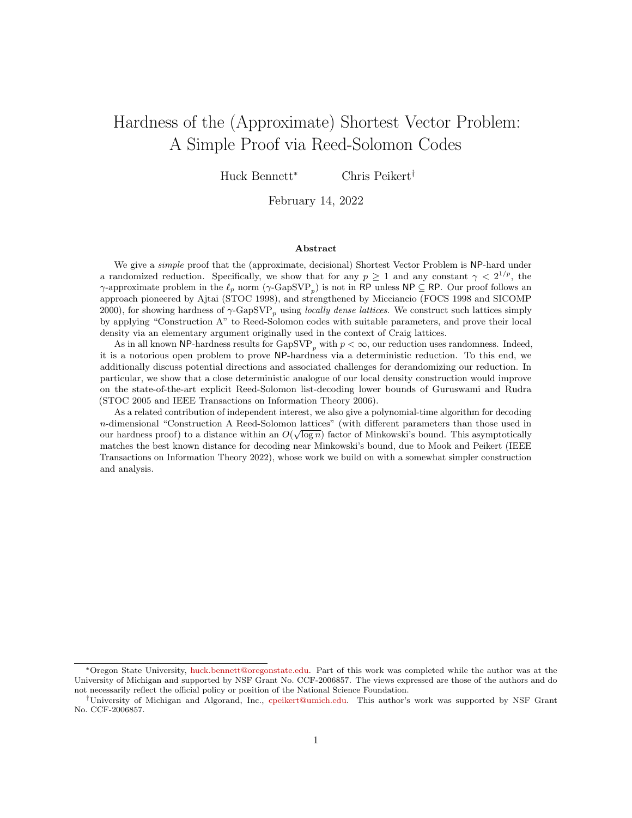# Hardness of the (Approximate) Shortest Vector Problem: A Simple Proof via Reed-Solomon Codes

Huck Bennett<sup>∗</sup> Chris Peikert†

February 14, 2022

#### Abstract

We give a *simple* proof that the (approximate, decisional) Shortest Vector Problem is NP-hard under a randomized reduction. Specifically, we show that for any  $p \geq 1$  and any constant  $\gamma < 2^{1/p}$ , the  $\gamma$ -approximate problem in the  $\ell_p$  norm  $(\gamma$ -GapSVP<sub>p</sub>) is not in RP unless NP  $\subseteq$  RP. Our proof follows an approach pioneered by Ajtai (STOC 1998), and strengthened by Micciancio (FOCS 1998 and SICOMP 2000), for showing hardness of  $\gamma$ -GapSVP<sub>p</sub> using *locally dense lattices*. We construct such lattices simply by applying "Construction A" to Reed-Solomon codes with suitable parameters, and prove their local density via an elementary argument originally used in the context of Craig lattices.

As in all known NP-hardness results for  $\text{GapSVP}_p$  with  $p < \infty$ , our reduction uses randomness. Indeed, it is a notorious open problem to prove NP-hardness via a deterministic reduction. To this end, we additionally discuss potential directions and associated challenges for derandomizing our reduction. In particular, we show that a close deterministic analogue of our local density construction would improve on the state-of-the-art explicit Reed-Solomon list-decoding lower bounds of Guruswami and Rudra (STOC 2005 and IEEE Transactions on Information Theory 2006).

As a related contribution of independent interest, we also give a polynomial-time algorithm for decoding n-dimensional "Construction A Reed-Solomon lattices" (with different parameters than those used in our hardness proof) to a distance within an  $O(\sqrt{\log n})$  factor of Minkowski's bound. This asymptotically matches the best known distance for decoding near Minkowski's bound, due to Mook and Peikert (IEEE Transactions on Information Theory 2022), whose work we build on with a somewhat simpler construction and analysis.

<sup>∗</sup>Oregon State University, [huck.bennett@oregonstate.edu.](mailto:huck.bennett@oregonstate.edu) Part of this work was completed while the author was at the University of Michigan and supported by NSF Grant No. CCF-2006857. The views expressed are those of the authors and do not necessarily reflect the official policy or position of the National Science Foundation.

<sup>†</sup>University of Michigan and Algorand, Inc., [cpeikert@umich.edu.](mailto:cpeikert@umich.edu) This author's work was supported by NSF Grant No. CCF-2006857.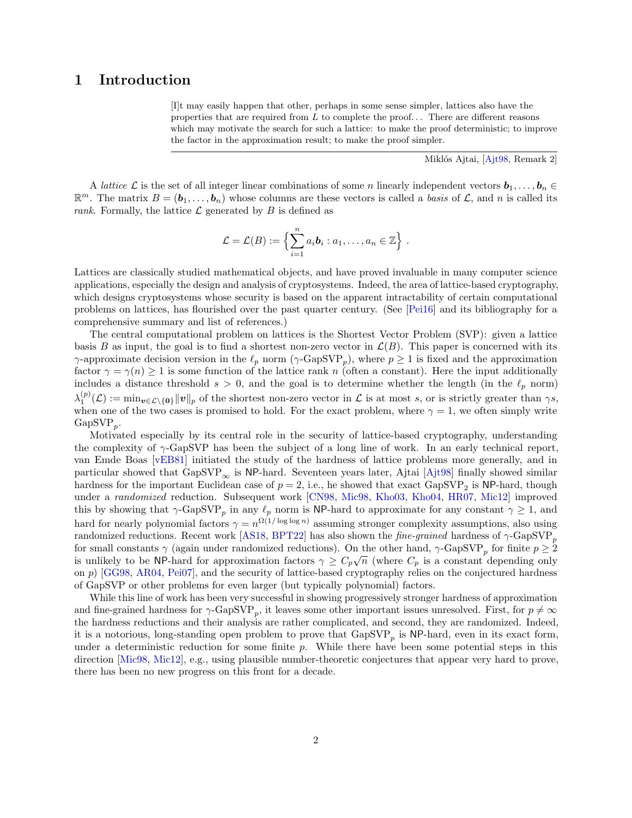## <span id="page-1-0"></span>1 Introduction

[I]t may easily happen that other, perhaps in some sense simpler, lattices also have the properties that are required from  $L$  to complete the proof... There are different reasons which may motivate the search for such a lattice: to make the proof deterministic; to improve the factor in the approximation result; to make the proof simpler.

Miklós Ajtai, [\[Ajt98,](#page-20-0) Remark 2]

A lattice L is the set of all integer linear combinations of some n linearly independent vectors  $b_1, \ldots, b_n \in$  $\mathbb{R}^m$ . The matrix  $B = (\boldsymbol{b}_1, \ldots, \boldsymbol{b}_n)$  whose columns are these vectors is called a *basis* of  $\mathcal{L}$ , and n is called its rank. Formally, the lattice  $\mathcal L$  generated by  $B$  is defined as

$$
\mathcal{L} = \mathcal{L}(B) := \left\{ \sum_{i=1}^n a_i \mathbf{b}_i : a_1, \ldots, a_n \in \mathbb{Z} \right\}.
$$

Lattices are classically studied mathematical objects, and have proved invaluable in many computer science applications, especially the design and analysis of cryptosystems. Indeed, the area of lattice-based cryptography, which designs cryptosystems whose security is based on the apparent intractability of certain computational problems on lattices, has flourished over the past quarter century. (See [\[Pei16\]](#page-21-0) and its bibliography for a comprehensive summary and list of references.)

The central computational problem on lattices is the Shortest Vector Problem (SVP): given a lattice basis B as input, the goal is to find a shortest non-zero vector in  $\mathcal{L}(B)$ . This paper is concerned with its  $\gamma$ -approximate decision version in the  $\ell_p$  norm  $(\gamma$ -GapSVP<sub>p</sub>), where  $p \ge 1$  is fixed and the approximation factor  $\gamma = \gamma(n) \geq 1$  is some function of the lattice rank n (often a constant). Here the input additionally includes a distance threshold  $s > 0$ , and the goal is to determine whether the length (in the  $\ell_p$  norm)  $\lambda_1^{(p)}(\mathcal{L}) := \min_{\boldsymbol{v} \in \mathcal{L} \setminus \{\boldsymbol{0}\}} ||\boldsymbol{v}||_p$  of the shortest non-zero vector in  $\mathcal{L}$  is at most s, or is strictly greater than  $\gamma s$ , when one of the two cases is promised to hold. For the exact problem, where  $\gamma = 1$ , we often simply write  $GapSVP_p.$ 

Motivated especially by its central role in the security of lattice-based cryptography, understanding the complexity of  $\gamma$ -GapSVP has been the subject of a long line of work. In an early technical report, van Emde Boas [\[vEB81\]](#page-22-0) initiated the study of the hardness of lattice problems more generally, and in particular showed that  $GapSVP_{\infty}$  is NP-hard. Seventeen years later, Ajtai [\[Ajt98\]](#page-20-0) finally showed similar hardness for the important Euclidean case of  $p = 2$ , i.e., he showed that exact  $\text{GapSVP}_2$  is NP-hard, though under a randomized reduction. Subsequent work [\[CN98,](#page-20-1) [Mic98,](#page-21-1) [Kho03,](#page-21-2) [Kho04,](#page-21-3) [HR07,](#page-21-4) [Mic12\]](#page-21-5) improved this by showing that  $\gamma$ -GapSVP<sub>p</sub> in any  $\ell_p$  norm is NP-hard to approximate for any constant  $\gamma \geq 1$ , and hard for nearly polynomial factors  $\gamma = n^{\Omega(1/\log \log n)}$  assuming stronger complexity assumptions, also using randomized reductions. Recent work [\[AS18,](#page-20-2) [BPT22\]](#page-20-3) has also shown the *fine-grained* hardness of  $\gamma$ -GapSVP<sub>p</sub> for small constants  $\gamma$  (again under randomized reductions). On the other hand,  $\gamma$ -GapSVP<sub>p</sub> for finite  $p \ge 2$ is unlikely to be NP-hard for approximation factors  $\gamma \geq C_p \sqrt{n}$  (where  $C_p$  is a constant depending only on p) [\[GG98,](#page-20-4) [AR04,](#page-20-5) [Pei07\]](#page-21-6), and the security of lattice-based cryptography relies on the conjectured hardness of GapSVP or other problems for even larger (but typically polynomial) factors.

While this line of work has been very successful in showing progressively stronger hardness of approximation and fine-grained hardness for  $\gamma$ -GapSVP<sub>p</sub>, it leaves some other important issues unresolved. First, for  $p \neq \infty$ the hardness reductions and their analysis are rather complicated, and second, they are randomized. Indeed, it is a notorious, long-standing open problem to prove that  $\text{GapSVP}_p$  is NP-hard, even in its exact form, under a deterministic reduction for some finite  $p$ . While there have been some potential steps in this direction [\[Mic98,](#page-21-1) [Mic12\]](#page-21-5), e.g., using plausible number-theoretic conjectures that appear very hard to prove, there has been no new progress on this front for a decade.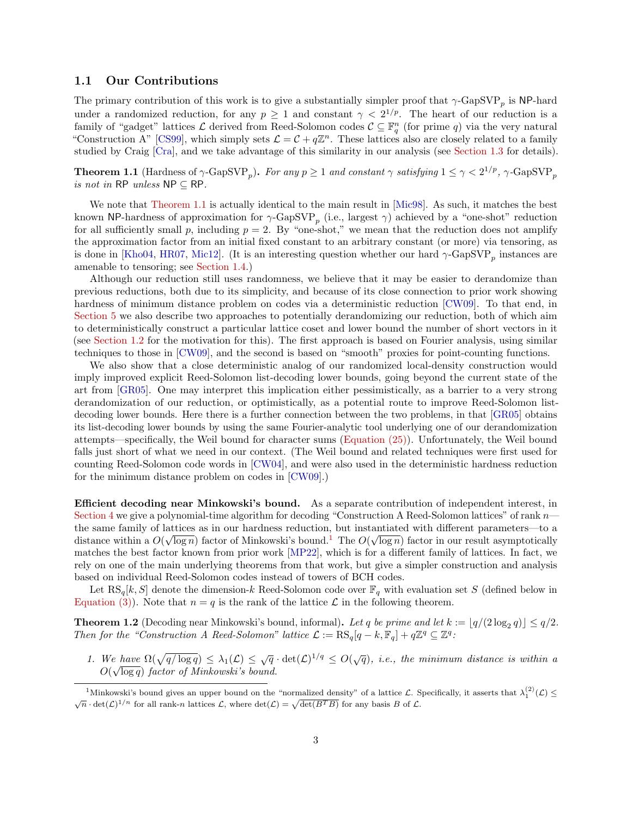#### <span id="page-2-3"></span>1.1 Our Contributions

The primary contribution of this work is to give a substantially simpler proof that  $\gamma$ -GapSVP<sub>p</sub> is NP-hard under a randomized reduction, for any  $p \geq 1$  and constant  $\gamma < 2^{1/p}$ . The heart of our reduction is a family of "gadget" lattices  $\mathcal L$  derived from Reed-Solomon codes  $\mathcal C \subseteq \mathbb F_q^n$  (for prime q) via the very natural "Construction A" [\[CS99\]](#page-20-6), which simply sets  $\mathcal{L} = \mathcal{C} + q\mathbb{Z}^n$ . These lattices also are closely related to a family studied by Craig [\[Cra\]](#page-20-7), and we take advantage of this similarity in our analysis (see [Section 1.3](#page-5-0) for details).

<span id="page-2-0"></span>**Theorem 1.1** (Hardness of  $\gamma$ -GapSVP<sub>p</sub>). For any  $p \ge 1$  and constant  $\gamma$  satisfying  $1 \le \gamma < 2^{1/p}$ ,  $\gamma$ -GapSVP<sub>p</sub> is not in RP unless  $NP \subset RP$ .

We note that [Theorem 1.1](#page-2-0) is actually identical to the main result in [\[Mic98\]](#page-21-1). As such, it matches the best known NP-hardness of approximation for  $\gamma$ -GapSVP<sub>p</sub> (i.e., largest  $\gamma$ ) achieved by a "one-shot" reduction for all sufficiently small p, including  $p = 2$ . By "one-shot," we mean that the reduction does not amplify the approximation factor from an initial fixed constant to an arbitrary constant (or more) via tensoring, as is done in [\[Kho04,](#page-21-3) [HR07,](#page-21-4) [Mic12\]](#page-21-5). (It is an interesting question whether our hard  $\gamma$ -GapSVP<sub>p</sub> instances are amenable to tensoring; see [Section 1.4.](#page-5-1))

Although our reduction still uses randomness, we believe that it may be easier to derandomize than previous reductions, both due to its simplicity, and because of its close connection to prior work showing hardness of minimum distance problem on codes via a deterministic reduction [\[CW09\]](#page-20-8). To that end, in [Section 5](#page-16-0) we also describe two approaches to potentially derandomizing our reduction, both of which aim to deterministically construct a particular lattice coset and lower bound the number of short vectors in it (see [Section 1.2](#page-3-0) for the motivation for this). The first approach is based on Fourier analysis, using similar techniques to those in [\[CW09\]](#page-20-8), and the second is based on "smooth" proxies for point-counting functions.

We also show that a close deterministic analog of our randomized local-density construction would imply improved explicit Reed-Solomon list-decoding lower bounds, going beyond the current state of the art from [\[GR05\]](#page-20-9). One may interpret this implication either pessimistically, as a barrier to a very strong derandomization of our reduction, or optimistically, as a potential route to improve Reed-Solomon list-decoding lower bounds. Here there is a further connection between the two problems, in that [\[GR05\]](#page-20-9) obtains its list-decoding lower bounds by using the same Fourier-analytic tool underlying one of our derandomization attempts—specifically, the Weil bound for character sums [\(Equation \(25\)\)](#page-23-0). Unfortunately, the Weil bound falls just short of what we need in our context. (The Weil bound and related techniques were first used for counting Reed-Solomon code words in [\[CW04\]](#page-20-10), and were also used in the deterministic hardness reduction for the minimum distance problem on codes in [\[CW09\]](#page-20-8).)

Efficient decoding near Minkowski's bound. As a separate contribution of independent interest, in [Section 4](#page-14-0) we give a polynomial-time algorithm for decoding "Construction A Reed-Solomon lattices" of rank  $n$ the same family of lattices as in our hardness reduction, but instantiated with different parameters—to a distance within a  $O(\sqrt{\log n})$  factor of Minkowski's bound.<sup>[1](#page-2-1)</sup> The  $O(\sqrt{\log n})$  factor in our result asymptotically matches the best factor known from prior work [\[MP22\]](#page-21-7), which is for a different family of lattices. In fact, we rely on one of the main underlying theorems from that work, but give a simpler construction and analysis based on individual Reed-Solomon codes instead of towers of BCH codes.

Let  $\text{RS}_q[k, S]$  denote the dimension-k Reed-Solomon code over  $\mathbb{F}_q$  with evaluation set S (defined below in [Equation \(3\)\)](#page-4-0). Note that  $n = q$  is the rank of the lattice  $\mathcal L$  in the following theorem.

<span id="page-2-2"></span>**Theorem 1.2** (Decoding near Minkowski's bound, informal). Let q be prime and let  $k := \lfloor q/(2 \log_2 q) \rfloor \leq q/2$ . Then for the "Construction A Reed-Solomon" lattice  $\mathcal{L} := \text{RS}_q[q - k, \mathbb{F}_q] + q\mathbb{Z}^q \subseteq \mathbb{Z}^q$ :

1. We have  $\Omega(\sqrt{q/\log q}) \leq \lambda_1(\mathcal{L}) \leq \sqrt{q} \cdot \det(\mathcal{L})^{1/q} \leq O(\sqrt{q})$ , i.e., the minimum distance is within a  $O(\sqrt{\log q})$  factor of Minkowski's bound.

<span id="page-2-1"></span><sup>&</sup>lt;sup>1</sup>Minkowski's bound gives an upper bound on the "normalized density" of a lattice  $\mathcal{L}$ . Specifically, it asserts that  $\lambda_1^{(2)}(\mathcal{L}) \leq$  $\sqrt{n} \cdot \det(\mathcal{L})^{1/n}$  for all rank-n lattices  $\mathcal{L}$ , where  $\det(\mathcal{L}) = \sqrt{\det(B^T B)}$  for any basis B of  $\mathcal{L}$ .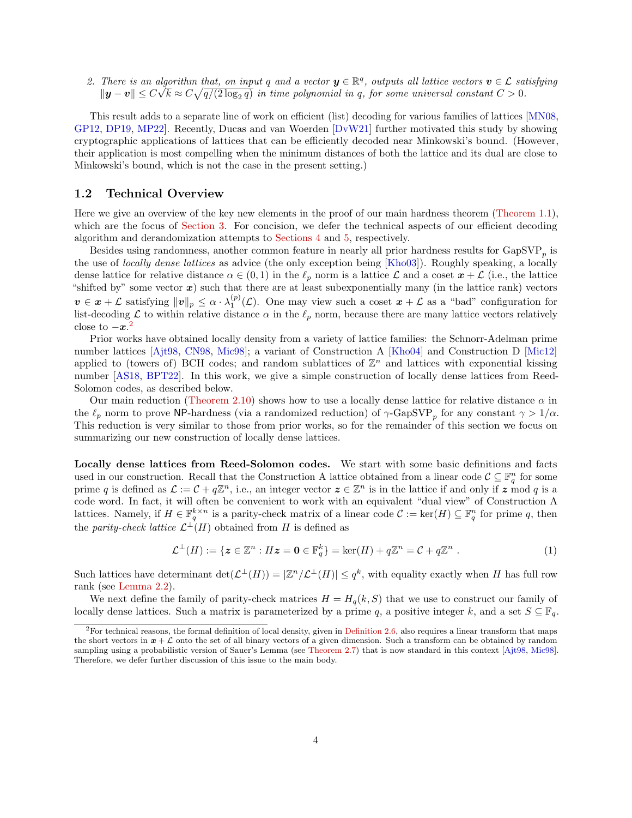<span id="page-3-2"></span>2. There is an algorithm that, on input q and a vector  $y \in \mathbb{R}^q$ , outputs all lattice vectors  $v \in \mathcal{L}$  satisfying  $\|\bm{y}-\bm{v}\|\leq C\sqrt{k}\approx C\sqrt{q/(2\log_2 q)}$  in time polynomial in q, for some universal constant  $C>0$ .

This result adds to a separate line of work on efficient (list) decoding for various families of lattices [\[MN08,](#page-21-8) [GP12,](#page-20-11) [DP19,](#page-20-12) [MP22\]](#page-21-7). Recently, Ducas and van Woerden [\[DvW21\]](#page-20-13) further motivated this study by showing cryptographic applications of lattices that can be efficiently decoded near Minkowski's bound. (However, their application is most compelling when the minimum distances of both the lattice and its dual are close to Minkowski's bound, which is not the case in the present setting.)

#### <span id="page-3-0"></span>1.2 Technical Overview

Here we give an overview of the key new elements in the proof of our main hardness theorem [\(Theorem 1.1\)](#page-2-0), which are the focus of [Section 3.](#page-10-0) For concision, we defer the technical aspects of our efficient decoding algorithm and derandomization attempts to [Sections 4](#page-14-0) and [5,](#page-16-0) respectively.

Besides using randomness, another common feature in nearly all prior hardness results for  $\text{GapSVP}_p$  is the use of *locally dense lattices* as advice (the only exception being [\[Kho03\]](#page-21-2)). Roughly speaking, a locally dense lattice for relative distance  $\alpha \in (0,1)$  in the  $\ell_p$  norm is a lattice  $\mathcal L$  and a coset  $x + \mathcal L$  (i.e., the lattice "shifted by" some vector  $x$ ) such that there are at least subexponentially many (in the lattice rank) vectors  $v \in x + \mathcal{L}$  satisfying  $||v||_p \leq \alpha \cdot \lambda_1^{(p)}(\mathcal{L})$ . One may view such a coset  $x + \mathcal{L}$  as a "bad" configuration for list-decoding  $\mathcal L$  to within relative distance  $\alpha$  in the  $\ell_p$  norm, because there are many lattice vectors relatively close to  $-x^2$  $-x^2$ 

Prior works have obtained locally density from a variety of lattice families: the Schnorr-Adelman prime number lattices [\[Ajt98,](#page-20-0) [CN98,](#page-20-1) [Mic98\]](#page-21-1); a variant of Construction A [\[Kho04\]](#page-21-3) and Construction D [\[Mic12\]](#page-21-5) applied to (towers of) BCH codes; and random sublattices of  $\mathbb{Z}^n$  and lattices with exponential kissing number [\[AS18,](#page-20-2) [BPT22\]](#page-20-3). In this work, we give a simple construction of locally dense lattices from Reed-Solomon codes, as described below.

Our main reduction [\(Theorem 2.10\)](#page-10-1) shows how to use a locally dense lattice for relative distance  $\alpha$  in the  $\ell_p$  norm to prove NP-hardness (via a randomized reduction) of  $\gamma$ -GapSVP<sub>p</sub> for any constant  $\gamma > 1/\alpha$ . This reduction is very similar to those from prior works, so for the remainder of this section we focus on summarizing our new construction of locally dense lattices.

Locally dense lattices from Reed-Solomon codes. We start with some basic definitions and facts used in our construction. Recall that the Construction A lattice obtained from a linear code  $\mathcal{C} \subseteq \mathbb{F}_q^n$  for some prime q is defined as  $\mathcal{L} := \mathcal{C} + q\mathbb{Z}^n$ , i.e., an integer vector  $\boldsymbol{z} \in \mathbb{Z}^n$  is in the lattice if and only if  $\boldsymbol{z}$  mod q is a code word. In fact, it will often be convenient to work with an equivalent "dual view" of Construction A lattices. Namely, if  $H \in \mathbb{F}_q^{k \times n}$  is a parity-check matrix of a linear code  $\mathcal{C} := \ker(H) \subseteq \mathbb{F}_q^n$  for prime q, then the *parity-check lattice*  $\mathcal{L}^{\perp}(H)$  obtained from H is defined as

$$
\mathcal{L}^{\perp}(H) := \{ \mathbf{z} \in \mathbb{Z}^n : H\mathbf{z} = \mathbf{0} \in \mathbb{F}_q^k \} = \ker(H) + q\mathbb{Z}^n = \mathcal{C} + q\mathbb{Z}^n . \tag{1}
$$

Such lattices have determinant  $\det(\mathcal{L}^{\perp}(H)) = |\mathbb{Z}^n/\mathcal{L}^{\perp}(H)| \leq q^k$ , with equality exactly when H has full row rank (see [Lemma 2.2\)](#page-7-0).

We next define the family of parity-check matrices  $H = H_q(k, S)$  that we use to construct our family of locally dense lattices. Such a matrix is parameterized by a prime q, a positive integer k, and a set  $S \subseteq \mathbb{F}_q$ .

<span id="page-3-1"></span> ${}^{2}$  For technical reasons, the formal definition of local density, given in [Definition 2.6,](#page-9-0) also requires a linear transform that maps the short vectors in  $x + \mathcal{L}$  onto the set of all binary vectors of a given dimension. Such a transform can be obtained by random sampling using a probabilistic version of Sauer's Lemma (see [Theorem 2.7\)](#page-9-1) that is now standard in this context [\[Ajt98,](#page-20-0) [Mic98\]](#page-21-1). Therefore, we defer further discussion of this issue to the main body.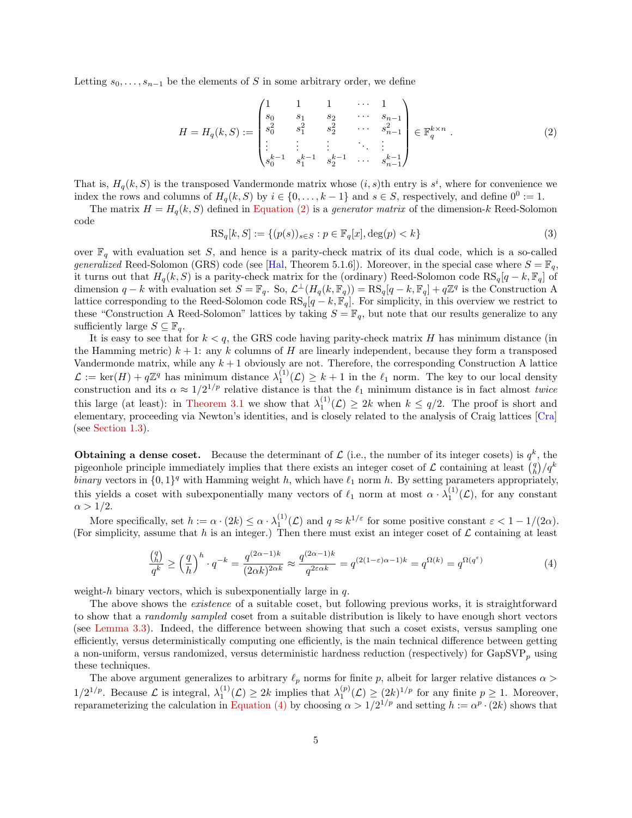<span id="page-4-3"></span>Letting  $s_0, \ldots, s_{n-1}$  be the elements of S in some arbitrary order, we define

<span id="page-4-1"></span>
$$
H = H_q(k, S) := \begin{pmatrix} 1 & 1 & 1 & \cdots & 1 \\ s_0 & s_1 & s_2 & \cdots & s_{n-1} \\ s_0^2 & s_1^2 & s_2^2 & \cdots & s_{n-1}^2 \\ \vdots & \vdots & \vdots & \ddots & \vdots \\ s_0^{k-1} & s_1^{k-1} & s_2^{k-1} & \cdots & s_{n-1}^{k-1} \end{pmatrix} \in \mathbb{F}_q^{k \times n} .
$$
 (2)

That is,  $H_q(k, S)$  is the transposed Vandermonde matrix whose  $(i, s)$ th entry is  $s^i$ , where for convenience we index the rows and columns of  $H_q(k, S)$  by  $i \in \{0, \ldots, k-1\}$  and  $s \in S$ , respectively, and define  $0^0 := 1$ .

The matrix  $H = H_q(k, S)$  defined in [Equation \(2\)](#page-4-1) is a *generator matrix* of the dimension-k Reed-Solomon code

<span id="page-4-0"></span>
$$
RS_q[k, S] := \{ (p(s))_{s \in S} : p \in \mathbb{F}_q[x], \deg(p) < k \} \tag{3}
$$

over  $\mathbb{F}_q$  with evaluation set S, and hence is a parity-check matrix of its dual code, which is a so-called generalized Reed-Solomon (GRS) code (see [\[Hal,](#page-21-9) Theorem 5.1.6]). Moreover, in the special case where  $S = \mathbb{F}_q$ , it turns out that  $H_q(k, S)$  is a parity-check matrix for the (ordinary) Reed-Solomon code RS<sub>q</sub>[q − k, F<sub>q</sub>] of dimension q – k with evaluation set  $S = \mathbb{F}_q$ . So,  $\mathcal{L}^{\perp}(H_q(k, \mathbb{F}_q)) = \text{RS}_q[q - k, \mathbb{F}_q] + q\mathbb{Z}^q$  is the Construction A lattice corresponding to the Reed-Solomon code  $RS_q[q - k, \mathbb{F}_q]$ . For simplicity, in this overview we restrict to these "Construction A Reed-Solomon" lattices by taking  $S = \mathbb{F}_q$ , but note that our results generalize to any sufficiently large  $S \subseteq \mathbb{F}_q$ .

It is easy to see that for  $k < q$ , the GRS code having parity-check matrix H has minimum distance (in the Hamming metric)  $k + 1$ : any k columns of H are linearly independent, because they form a transposed Vandermonde matrix, while any  $k + 1$  obviously are not. Therefore, the corresponding Construction A lattice  $\mathcal{L} := \ker(H) + q\mathbb{Z}^q$  has minimum distance  $\lambda_1^{(1)}(\mathcal{L}) \geq k+1$  in the  $\ell_1$  norm. The key to our local density construction and its  $\alpha \approx 1/2^{1/p}$  relative distance is that the  $\ell_1$  minimum distance is in fact almost *twice* this large (at least): in [Theorem 3.1](#page-11-0) we show that  $\lambda_1^{(1)}(\mathcal{L}) \geq 2k$  when  $k \leq q/2$ . The proof is short and elementary, proceeding via Newton's identities, and is closely related to the analysis of Craig lattices [\[Cra\]](#page-20-7) (see [Section 1.3\)](#page-5-0).

**Obtaining a dense coset.** Because the determinant of  $\mathcal{L}$  (i.e., the number of its integer cosets) is  $q^k$ , the pigeonhole principle immediately implies that there exists an integer coset of  $\mathcal L$  containing at least  $\binom{q}{h}/q^k$ binary vectors in  $\{0,1\}^q$  with Hamming weight h, which have  $\ell_1$  norm h. By setting parameters appropriately, this yields a coset with subexponentially many vectors of  $\ell_1$  norm at most  $\alpha \cdot \lambda_1^{(1)}(\mathcal{L})$ , for any constant  $\alpha > 1/2$ .

More specifically, set  $h := \alpha \cdot (2k) \leq \alpha \cdot \lambda_1^{(1)}(\mathcal{L})$  and  $q \approx k^{1/\varepsilon}$  for some positive constant  $\varepsilon < 1 - 1/(2\alpha)$ . (For simplicity, assume that h is an integer.) Then there must exist an integer coset of  $\mathcal L$  containing at least

<span id="page-4-2"></span>
$$
\frac{\binom{q}{h}}{q^k} \ge \left(\frac{q}{h}\right)^h \cdot q^{-k} = \frac{q^{(2\alpha - 1)k}}{(2\alpha k)^{2\alpha k}} \approx \frac{q^{(2\alpha - 1)k}}{q^{2\varepsilon \alpha k}} = q^{(2(1-\varepsilon)\alpha - 1)k} = q^{\Omega(k)} = q^{\Omega(q^{\varepsilon})}
$$
\n(4)

weight-h binary vectors, which is subexponentially large in  $q$ .

The above shows the existence of a suitable coset, but following previous works, it is straightforward to show that a randomly sampled coset from a suitable distribution is likely to have enough short vectors (see [Lemma 3.3\)](#page-12-0). Indeed, the difference between showing that such a coset exists, versus sampling one efficiently, versus deterministically computing one efficiently, is the main technical difference between getting a non-uniform, versus randomized, versus deterministic hardness reduction (respectively) for  $\text{GapSVP}_p$  using these techniques.

The above argument generalizes to arbitrary  $\ell_p$  norms for finite p, albeit for larger relative distances  $\alpha >$  $1/2^{1/p}$ . Because  $\mathcal L$  is integral,  $\lambda_1^{(1)}(\mathcal L) \geq 2k$  implies that  $\lambda_1^{(p)}(\mathcal L) \geq (2k)^{1/p}$  for any finite  $p \geq 1$ . Moreover, reparameterizing the calculation in [Equation \(4\)](#page-4-2) by choosing  $\alpha > 1/2^{1/p}$  and setting  $h := \alpha^p \cdot (2k)$  shows that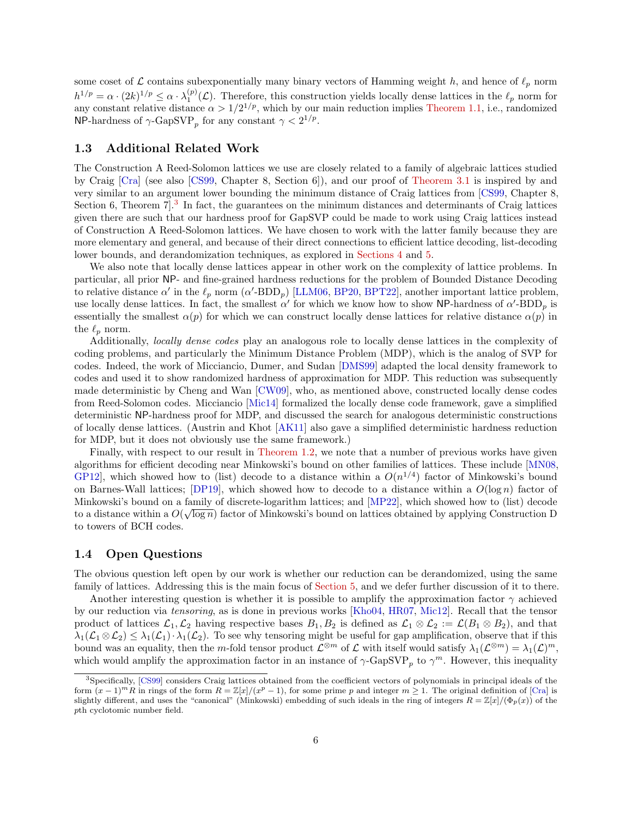<span id="page-5-3"></span>some coset of  $\mathcal L$  contains subexponentially many binary vectors of Hamming weight h, and hence of  $\ell_p$  norm  $h^{1/p} = \alpha \cdot (2k)^{1/p} \leq \alpha \cdot \lambda_1^{(p)}(\mathcal{L})$ . Therefore, this construction yields locally dense lattices in the  $\ell_p$  norm for any constant relative distance  $\alpha > 1/2^{1/p}$ , which by our main reduction implies [Theorem 1.1,](#page-2-0) i.e., randomized NP-hardness of  $\gamma$ -GapSVP<sub>p</sub> for any constant  $\gamma < 2^{1/p}$ .

#### <span id="page-5-0"></span>1.3 Additional Related Work

The Construction A Reed-Solomon lattices we use are closely related to a family of algebraic lattices studied by Craig [\[Cra\]](#page-20-7) (see also [\[CS99,](#page-20-6) Chapter 8, Section 6]), and our proof of [Theorem 3.1](#page-11-0) is inspired by and very similar to an argument lower bounding the minimum distance of Craig lattices from [\[CS99,](#page-20-6) Chapter 8, Section 6, Theorem  $7^3$  $7^3$ . In fact, the guarantees on the minimum distances and determinants of Craig lattices given there are such that our hardness proof for GapSVP could be made to work using Craig lattices instead of Construction A Reed-Solomon lattices. We have chosen to work with the latter family because they are more elementary and general, and because of their direct connections to efficient lattice decoding, list-decoding lower bounds, and derandomization techniques, as explored in [Sections 4](#page-14-0) and [5.](#page-16-0)

We also note that locally dense lattices appear in other work on the complexity of lattice problems. In particular, all prior NP- and fine-grained hardness reductions for the problem of Bounded Distance Decoding to relative distance  $\alpha'$  in the  $\ell_p$  norm  $(\alpha'$ -BDD<sub>p</sub>) [\[LLM06,](#page-21-10) [BP20,](#page-20-14) [BPT22\]](#page-20-3), another important lattice problem, use locally dense lattices. In fact, the smallest  $\alpha'$  for which we know how to show NP-hardness of  $\alpha'$ -BDD<sub>p</sub> is essentially the smallest  $\alpha(p)$  for which we can construct locally dense lattices for relative distance  $\alpha(p)$  in the  $\ell_p$  norm.

Additionally, locally dense codes play an analogous role to locally dense lattices in the complexity of coding problems, and particularly the Minimum Distance Problem (MDP), which is the analog of SVP for codes. Indeed, the work of Micciancio, Dumer, and Sudan [\[DMS99\]](#page-20-15) adapted the local density framework to codes and used it to show randomized hardness of approximation for MDP. This reduction was subsequently made deterministic by Cheng and Wan [\[CW09\]](#page-20-8), who, as mentioned above, constructed locally dense codes from Reed-Solomon codes. Micciancio [\[Mic14\]](#page-21-11) formalized the locally dense code framework, gave a simplified deterministic NP-hardness proof for MDP, and discussed the search for analogous deterministic constructions of locally dense lattices. (Austrin and Khot [\[AK11\]](#page-20-16) also gave a simplified deterministic hardness reduction for MDP, but it does not obviously use the same framework.)

Finally, with respect to our result in [Theorem 1.2,](#page-2-2) we note that a number of previous works have given algorithms for efficient decoding near Minkowski's bound on other families of lattices. These include [\[MN08,](#page-21-8) GP12, which showed how to (list) decode to a distance within a  $O(n^{1/4})$  factor of Minkowski's bound on Barnes-Wall lattices; [\[DP19\]](#page-20-12), which showed how to decode to a distance within a  $O(\log n)$  factor of Minkowski's bound on a family of discrete-logarithm lattices; and [\[MP22\]](#page-21-7), which showed how to (list) decode to a distance within a  $O(\sqrt{\log n})$  factor of Minkowski's bound on lattices obtained by applying Construction D to towers of BCH codes.

#### <span id="page-5-1"></span>1.4 Open Questions

The obvious question left open by our work is whether our reduction can be derandomized, using the same family of lattices. Addressing this is the main focus of [Section 5,](#page-16-0) and we defer further discussion of it to there.

Another interesting question is whether it is possible to amplify the approximation factor  $\gamma$  achieved by our reduction via tensoring, as is done in previous works [\[Kho04,](#page-21-3) [HR07,](#page-21-4) [Mic12\]](#page-21-5). Recall that the tensor product of lattices  $\mathcal{L}_1,\mathcal{L}_2$  having respective bases  $B_1, B_2$  is defined as  $\mathcal{L}_1 \otimes \mathcal{L}_2 := \mathcal{L}(B_1 \otimes B_2)$ , and that  $\lambda_1(\mathcal{L}_1 \otimes \mathcal{L}_2) \leq \lambda_1(\mathcal{L}_1) \cdot \lambda_1(\mathcal{L}_2)$ . To see why tensoring might be useful for gap amplification, observe that if this bound was an equality, then the m-fold tensor product  $\mathcal{L}^{\otimes m}$  of  $\mathcal{L}$  with itself would satisfy  $\lambda_1(\mathcal{L}^{\otimes m}) = \lambda_1(\mathcal{L})^m$ , which would amplify the approximation factor in an instance of  $\gamma$ -GapSVP<sub>p</sub> to  $\gamma^m$ . However, this inequality

<span id="page-5-2"></span><sup>3</sup>Specifically, [\[CS99\]](#page-20-6) considers Craig lattices obtained from the coefficient vectors of polynomials in principal ideals of the form  $(x-1)^m R$  in rings of the form  $R = \mathbb{Z}[x]/(x^p - 1)$ , for some prime p and integer  $m \geq 1$ . The original definition of [\[Cra\]](#page-20-7) is slightly different, and uses the "canonical" (Minkowski) embedding of such ideals in the ring of integers  $R = \mathbb{Z}[x]/(\Phi_p(x))$  of the pth cyclotomic number field.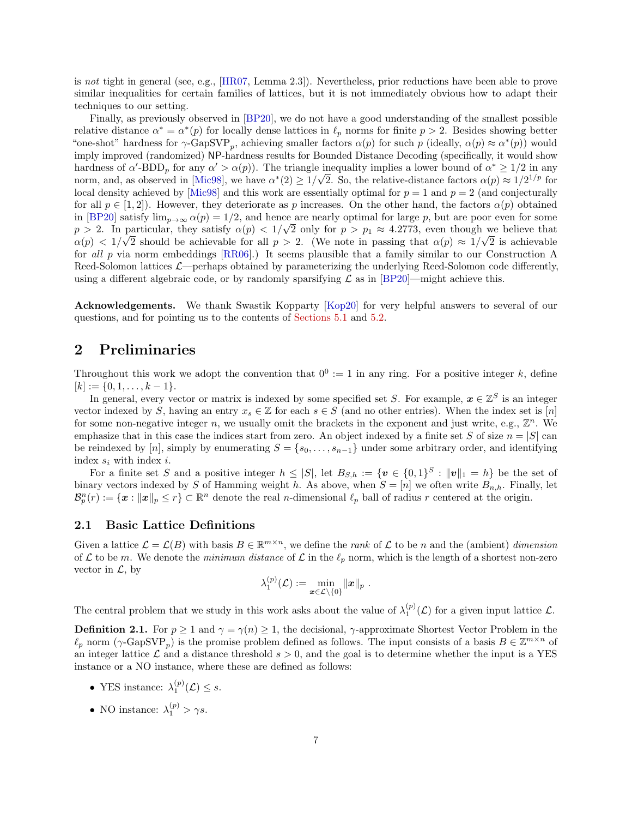<span id="page-6-0"></span>is not tight in general (see, e.g., [\[HR07,](#page-21-4) Lemma 2.3]). Nevertheless, prior reductions have been able to prove similar inequalities for certain families of lattices, but it is not immediately obvious how to adapt their techniques to our setting.

Finally, as previously observed in [\[BP20\]](#page-20-14), we do not have a good understanding of the smallest possible relative distance  $\alpha^* = \alpha^*(p)$  for locally dense lattices in  $\ell_p$  norms for finite  $p > 2$ . Besides showing better "one-shot" hardness for  $\gamma$ -GapSVP<sub>p</sub>, achieving smaller factors  $\alpha(p)$  for such p (ideally,  $\alpha(p) \approx \alpha^*(p)$ ) would imply improved (randomized) NP-hardness results for Bounded Distance Decoding (specifically, it would show hardness of  $\alpha'$ -BDD<sub>p</sub> for any  $\alpha' > \alpha(p)$ ). The triangle inequality implies a lower bound of  $\alpha^* \ge 1/2$  in any norm, and, as observed in [\[Mic98\]](#page-21-1), we have  $\alpha^*(2) \ge 1/\sqrt{2}$ . So, the relative-distance factors  $\alpha(p) \approx 1/2^{1/p}$  for local density achieved by [\[Mic98\]](#page-21-1) and this work are essentially optimal for  $p = 1$  and  $p = 2$  (and conjecturally for all  $p \in [1, 2]$ . However, they deteriorate as p increases. On the other hand, the factors  $\alpha(p)$  obtained in [\[BP20\]](#page-20-14) satisfy  $\lim_{p\to\infty} \alpha(p) = 1/2$ , and hence are nearly optimal for large p, but are poor even for some  $p > 2$ . In particular, they satisfy  $\alpha(p) < 1/\sqrt{2}$  only for  $p > p_1 \approx 4.2773$ , even though we believe that  $\alpha(p) < 1/\sqrt{2}$  should be achievable for all  $p > 2$ . (We note in passing that  $\alpha(p) \approx 1/\sqrt{2}$  is achievable for all p via norm embeddings [\[RR06\]](#page-22-1).) It seems plausible that a family similar to our Construction A Reed-Solomon lattices  $\mathcal{L}$ —perhaps obtained by parameterizing the underlying Reed-Solomon code differently, using a different algebraic code, or by randomly sparsifying  $\mathcal L$  as in [\[BP20\]](#page-20-14)—might achieve this.

Acknowledgements. We thank Swastik Kopparty [\[Kop20\]](#page-21-12) for very helpful answers to several of our questions, and for pointing us to the contents of [Sections 5.1](#page-16-1) and [5.2.](#page-18-0)

### 2 Preliminaries

Throughout this work we adopt the convention that  $0^0 := 1$  in any ring. For a positive integer k, define  $[k] := \{0, 1, \ldots, k-1\}.$ 

In general, every vector or matrix is indexed by some specified set S. For example,  $x \in \mathbb{Z}^S$  is an integer vector indexed by S, having an entry  $x_s \in \mathbb{Z}$  for each  $s \in S$  (and no other entries). When the index set is [n] for some non-negative integer n, we usually omit the brackets in the exponent and just write, e.g.,  $\mathbb{Z}^n$ . We emphasize that in this case the indices start from zero. An object indexed by a finite set S of size  $n = |S|$  can be reindexed by [n], simply by enumerating  $S = \{s_0, \ldots, s_{n-1}\}\$  under some arbitrary order, and identifying index  $s_i$  with index  $i$ .

For a finite set S and a positive integer  $h \leq |S|$ , let  $B_{S,h} := \{v \in \{0,1\}^S : ||v||_1 = h\}$  be the set of binary vectors indexed by S of Hamming weight h. As above, when  $S = [n]$  we often write  $B_{n,h}$ . Finally, let  $\mathcal{B}_{p}^{n}(r) := \{ \boldsymbol{x} : ||\boldsymbol{x}||_{p} \leq r \} \subset \mathbb{R}^{n}$  denote the real *n*-dimensional  $\ell_{p}$  ball of radius r centered at the origin.

#### 2.1 Basic Lattice Definitions

Given a lattice  $\mathcal{L} = \mathcal{L}(B)$  with basis  $B \in \mathbb{R}^{m \times n}$ , we define the *rank* of  $\mathcal L$  to be *n* and the (ambient) dimension of L to be m. We denote the minimum distance of L in the  $\ell_p$  norm, which is the length of a shortest non-zero vector in  $\mathcal{L}$ , by

$$
\lambda^{(p)}_1(\mathcal{L}):=\min_{\bm{x}\in\mathcal{L}\setminus\{0\}}\|\bm{x}\|_p\;.
$$

The central problem that we study in this work asks about the value of  $\lambda_1^{(p)}(\mathcal{L})$  for a given input lattice  $\mathcal{L}$ .

**Definition 2.1.** For  $p \ge 1$  and  $\gamma = \gamma(n) \ge 1$ , the decisional,  $\gamma$ -approximate Shortest Vector Problem in the  $\ell_p$  norm  $(\gamma$ -GapSVP<sub>p</sub>) is the promise problem defined as follows. The input consists of a basis  $B \in \mathbb{Z}^{m \times n}$  of an integer lattice L and a distance threshold  $s > 0$ , and the goal is to determine whether the input is a YES instance or a NO instance, where these are defined as follows:

- YES instance:  $\lambda_1^{(p)}(\mathcal{L}) \leq s$ .
- NO instance:  $\lambda_1^{(p)} > \gamma s$ .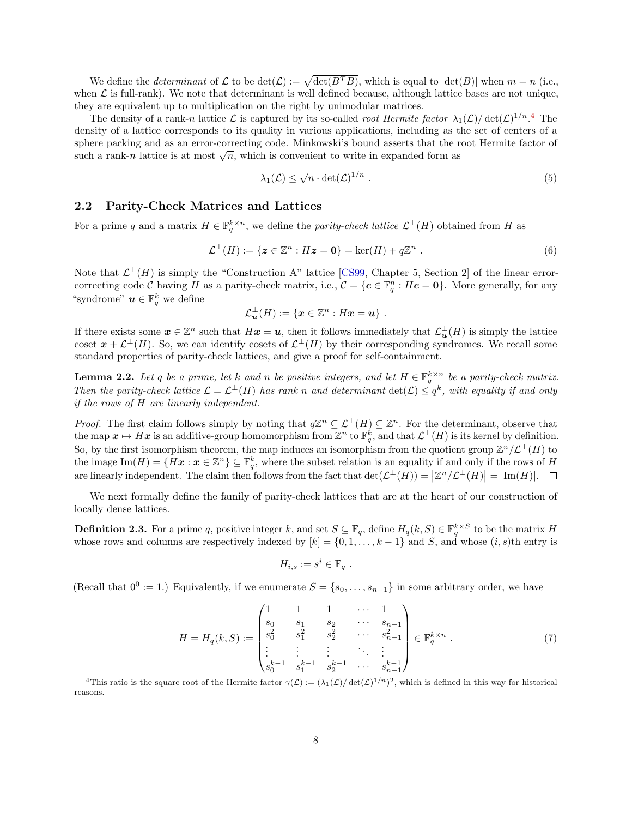<span id="page-7-5"></span>We define the *determinant* of L to be  $\det(\mathcal{L}) := \sqrt{\det(B^T B)}$ , which is equal to  $|\det(B)|$  when  $m = n$  (i.e., when  $\mathcal L$  is full-rank). We note that determinant is well defined because, although lattice bases are not unique, they are equivalent up to multiplication on the right by unimodular matrices.

The density of a rank-n lattice  $\mathcal L$  is captured by its so-called *root Hermite factor*  $\lambda_1(\mathcal L)/\det(\mathcal L)^{1/n}$ .<sup>[4](#page-7-1)</sup> The density of a lattice corresponds to its quality in various applications, including as the set of centers of a sphere packing and as an error-correcting code. Minkowski's bound asserts that the root Hermite factor of sphere packing and as an error-correcting code. Minkowski s bound asserts that the r<br>such a rank-n lattice is at most  $\sqrt{n}$ , which is convenient to write in expanded form as

<span id="page-7-3"></span>
$$
\lambda_1(\mathcal{L}) \le \sqrt{n} \cdot \det(\mathcal{L})^{1/n} . \tag{5}
$$

#### 2.2 Parity-Check Matrices and Lattices

For a prime q and a matrix  $H \in \mathbb{F}_q^{k \times n}$ , we define the parity-check lattice  $\mathcal{L}^{\perp}(H)$  obtained from H as

$$
\mathcal{L}^{\perp}(H) := \{ \mathbf{z} \in \mathbb{Z}^n : H\mathbf{z} = \mathbf{0} \} = \ker(H) + q\mathbb{Z}^n \ . \tag{6}
$$

Note that  $\mathcal{L}^{\perp}(H)$  is simply the "Construction A" lattice [\[CS99,](#page-20-6) Chapter 5, Section 2] of the linear errorcorrecting code C having H as a parity-check matrix, i.e.,  $\mathcal{C} = \{c \in \mathbb{F}_q^n : Hc = 0\}$ . More generally, for any "syndrome"  $\mathbf{u} \in \mathbb{F}_q^k$  we define

$$
\mathcal{L}_{\mathbf{u}}^{\perp}(H):=\{\mathbf{x}\in\mathbb{Z}^n:H\mathbf{x}=\mathbf{u}\}\ .
$$

If there exists some  $x \in \mathbb{Z}^n$  such that  $Hx = u$ , then it follows immediately that  $\mathcal{L}_{u}^{\perp}(H)$  is simply the lattice coset  $x + \mathcal{L}^{\perp}(H)$ . So, we can identify cosets of  $\mathcal{L}^{\perp}(H)$  by their corresponding syndromes. We recall some standard properties of parity-check lattices, and give a proof for self-containment.

<span id="page-7-0"></span>**Lemma 2.2.** Let q be a prime, let k and n be positive integers, and let  $H \in \mathbb{F}_q^{k \times n}$  be a parity-check matrix. Then the parity-check lattice  $\mathcal{L} = \mathcal{L}^{\perp}(H)$  has rank n and determinant  $\det(\mathcal{L}) \leq q^k$ , with equality if and only if the rows of H are linearly independent.

*Proof.* The first claim follows simply by noting that  $q\mathbb{Z}^n \subseteq \mathcal{L}^{\perp}(H) \subseteq \mathbb{Z}^n$ . For the determinant, observe that the map  $\bm{x} \mapsto H\bm{x}$  is an additive-group homomorphism from  $\mathbb{Z}^n$  to  $\mathbb{F}_q^k$ , and that  $\mathcal{L}^{\perp}(H)$  is its kernel by definition. So, by the first isomorphism theorem, the map induces an isomorphism from the quotient group  $\mathbb{Z}^n/\mathcal{L}^{\perp}(H)$  to the image  $\text{Im}(H) = \{H\boldsymbol{x} : \boldsymbol{x} \in \mathbb{Z}^n\} \subseteq \mathbb{F}_q^k$ , where the subset relation is an equality if and only if the rows of H are linearly independent. The claim then follows from the fact that  $\det(\mathcal{L}^{\perp}(H)) = |\mathbb{Z}^n/\mathcal{L}^{\perp}(H)| = |\text{Im}(H)|$ .

We next formally define the family of parity-check lattices that are at the heart of our construction of locally dense lattices.

<span id="page-7-2"></span>**Definition 2.3.** For a prime q, positive integer k, and set  $S \subseteq \mathbb{F}_q$ , define  $H_q(k, S) \in \mathbb{F}_q^{k \times S}$  to be the matrix H whose rows and columns are respectively indexed by  $[k] = \{0, 1, \ldots, k-1\}$  and S, and whose  $(i, s)$ th entry is

$$
H_{i,s} := s^i \in \mathbb{F}_q.
$$

(Recall that  $0^0 := 1$ .) Equivalently, if we enumerate  $S = \{s_0, \ldots, s_{n-1}\}\$  in some arbitrary order, we have

<span id="page-7-4"></span>
$$
H = H_q(k, S) := \begin{pmatrix} 1 & 1 & 1 & \cdots & 1 \\ s_0 & s_1 & s_2 & \cdots & s_{n-1} \\ s_0^2 & s_1^2 & s_2^2 & \cdots & s_{n-1}^2 \\ \vdots & \vdots & \vdots & \ddots & \vdots \\ s_0^{k-1} & s_1^{k-1} & s_2^{k-1} & \cdots & s_{n-1}^{k-1} \end{pmatrix} \in \mathbb{F}_q^{k \times n} .
$$
 (7)

<span id="page-7-1"></span><sup>&</sup>lt;sup>4</sup>This ratio is the square root of the Hermite factor  $\gamma(\mathcal{L}) := (\lambda_1(\mathcal{L})/ \det(\mathcal{L})^{1/n})^2$ , which is defined in this way for historical reasons.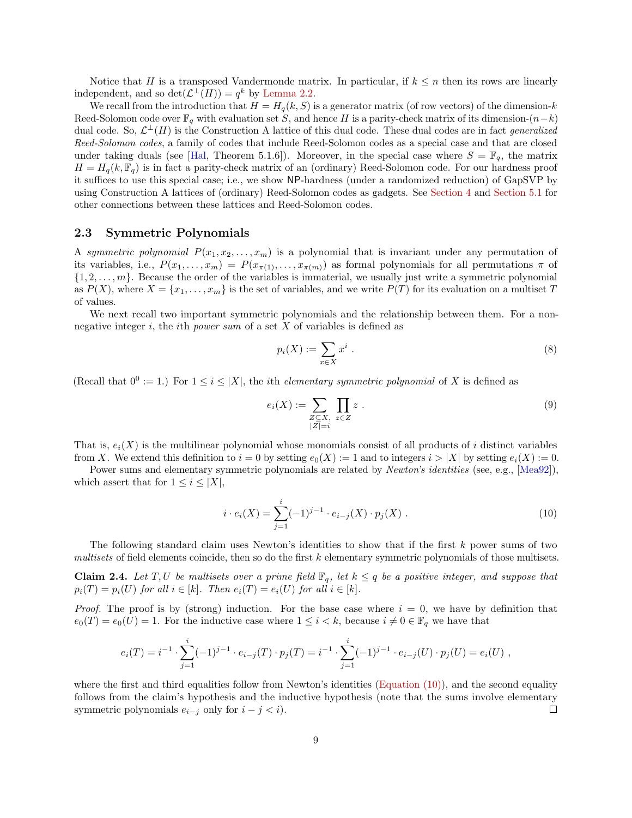<span id="page-8-3"></span>Notice that H is a transposed Vandermonde matrix. In particular, if  $k \leq n$  then its rows are linearly independent, and so  $\det(\mathcal{L}^{\perp}(H)) = q^k$  by [Lemma 2.2.](#page-7-0)

We recall from the introduction that  $H = H_q(k, S)$  is a generator matrix (of row vectors) of the dimension-k Reed-Solomon code over  $\mathbb{F}_q$  with evaluation set S, and hence H is a parity-check matrix of its dimension- $(n-k)$ dual code. So,  $\mathcal{L}^{\perp}(H)$  is the Construction A lattice of this dual code. These dual codes are in fact *generalized* Reed-Solomon codes, a family of codes that include Reed-Solomon codes as a special case and that are closed under taking duals (see [\[Hal,](#page-21-9) Theorem 5.1.6]). Moreover, in the special case where  $S = \mathbb{F}_q$ , the matrix  $H = H_q(k, \mathbb{F}_q)$  is in fact a parity-check matrix of an (ordinary) Reed-Solomon code. For our hardness proof it suffices to use this special case; i.e., we show NP-hardness (under a randomized reduction) of GapSVP by using Construction A lattices of (ordinary) Reed-Solomon codes as gadgets. See [Section 4](#page-14-0) and [Section 5.1](#page-16-1) for other connections between these lattices and Reed-Solomon codes.

#### <span id="page-8-2"></span>2.3 Symmetric Polynomials

A symmetric polynomial  $P(x_1, x_2, \ldots, x_m)$  is a polynomial that is invariant under any permutation of its variables, i.e.,  $P(x_1, \ldots, x_m) = P(x_{\pi(1)}, \ldots, x_{\pi(m)})$  as formal polynomials for all permutations  $\pi$  of  $\{1, 2, \ldots, m\}$ . Because the order of the variables is immaterial, we usually just write a symmetric polynomial as  $P(X)$ , where  $X = \{x_1, \ldots, x_m\}$  is the set of variables, and we write  $P(T)$  for its evaluation on a multiset T of values.

We next recall two important symmetric polynomials and the relationship between them. For a nonnegative integer i, the ith *power sum* of a set  $X$  of variables is defined as

$$
p_i(X) := \sum_{x \in X} x^i \tag{8}
$$

(Recall that  $0^0 := 1$ .) For  $1 \le i \le |X|$ , the *i*th *elementary symmetric polynomial* of X is defined as

$$
e_i(X) := \sum_{\substack{Z \subseteq X, \\ |Z| = i}} \prod_{z \in Z} z . \tag{9}
$$

That is,  $e_i(X)$  is the multilinear polynomial whose monomials consist of all products of i distinct variables from X. We extend this definition to  $i = 0$  by setting  $e_0(X) := 1$  and to integers  $i > |X|$  by setting  $e_i(X) := 0$ .

Power sums and elementary symmetric polynomials are related by *Newton's identities* (see, e.g., [\[Mea92\]](#page-21-13)), which assert that for  $1 \leq i \leq |X|$ ,

<span id="page-8-0"></span>
$$
i \cdot e_i(X) = \sum_{j=1}^i (-1)^{j-1} \cdot e_{i-j}(X) \cdot p_j(X) \tag{10}
$$

The following standard claim uses Newton's identities to show that if the first k power sums of two multisets of field elements coincide, then so do the first  $k$  elementary symmetric polynomials of those multisets.

<span id="page-8-1"></span>**Claim 2.4.** Let T, U be multisets over a prime field  $\mathbb{F}_q$ , let  $k \leq q$  be a positive integer, and suppose that  $p_i(T) = p_i(U)$  for all  $i \in [k]$ . Then  $e_i(T) = e_i(U)$  for all  $i \in [k]$ .

*Proof.* The proof is by (strong) induction. For the base case where  $i = 0$ , we have by definition that  $e_0(T) = e_0(U) = 1$ . For the inductive case where  $1 \leq i \leq k$ , because  $i \neq 0 \in \mathbb{F}_q$  we have that

$$
e_i(T) = i^{-1} \cdot \sum_{j=1}^i (-1)^{j-1} \cdot e_{i-j}(T) \cdot p_j(T) = i^{-1} \cdot \sum_{j=1}^i (-1)^{j-1} \cdot e_{i-j}(U) \cdot p_j(U) = e_i(U) ,
$$

where the first and third equalities follow from Newton's identities (Equation  $(10)$ ), and the second equality follows from the claim's hypothesis and the inductive hypothesis (note that the sums involve elementary symmetric polynomials  $e_{i-j}$  only for  $i - j < i$ ).  $\Box$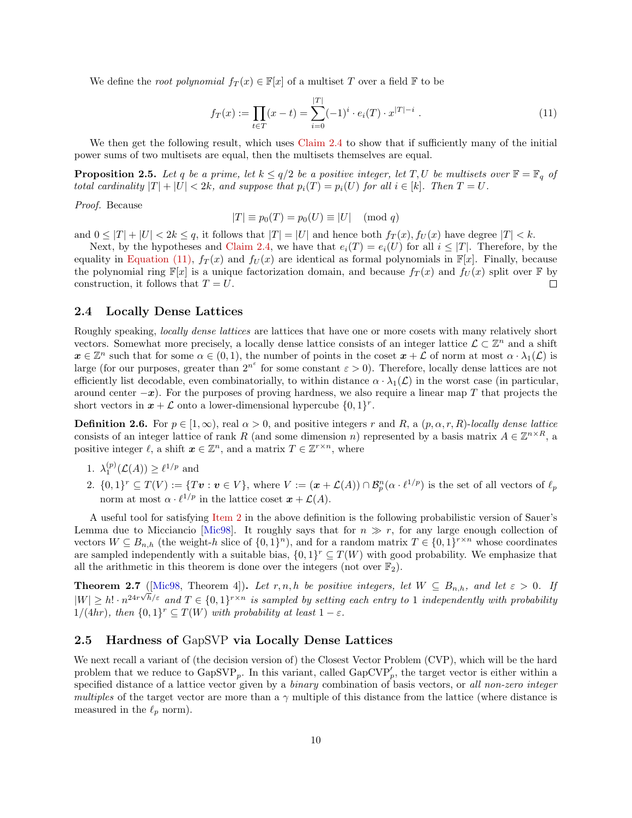<span id="page-9-6"></span>We define the *root polynomial*  $f_T(x) \in \mathbb{F}[x]$  of a multiset T over a field F to be

<span id="page-9-2"></span>
$$
f_T(x) := \prod_{t \in T} (x - t) = \sum_{i=0}^{|T|} (-1)^i \cdot e_i(T) \cdot x^{|T| - i} . \tag{11}
$$

We then get the following result, which uses [Claim 2.4](#page-8-1) to show that if sufficiently many of the initial power sums of two multisets are equal, then the multisets themselves are equal.

<span id="page-9-5"></span>**Proposition 2.5.** Let q be a prime, let  $k \le q/2$  be a positive integer, let T, U be multisets over  $\mathbb{F} = \mathbb{F}_q$  of total cardinality  $|T| + |U| < 2k$ , and suppose that  $p_i(T) = p_i(U)$  for all  $i \in [k]$ . Then  $T = U$ .

Proof. Because

$$
|T| \equiv p_0(T) = p_0(U) \equiv |U| \pmod{q}
$$

and  $0 \leq |T| + |U| < 2k \leq q$ , it follows that  $|T| = |U|$  and hence both  $f_T(x)$ ,  $f_U(x)$  have degree  $|T| < k$ .

Next, by the hypotheses and [Claim 2.4,](#page-8-1) we have that  $e_i(T) = e_i(U)$  for all  $i \leq |T|$ . Therefore, by the equality in [Equation \(11\),](#page-9-2)  $f_T(x)$  and  $f_U(x)$  are identical as formal polynomials in  $\mathbb{F}[x]$ . Finally, because the polynomial ring  $\mathbb{F}[x]$  is a unique factorization domain, and because  $f_T(x)$  and  $f_U(x)$  split over  $\mathbb F$  by construction, it follows that  $T = U$ .  $\Box$ 

#### 2.4 Locally Dense Lattices

Roughly speaking, locally dense lattices are lattices that have one or more cosets with many relatively short vectors. Somewhat more precisely, a locally dense lattice consists of an integer lattice  $\mathcal{L} \subset \mathbb{Z}^n$  and a shift  $x \in \mathbb{Z}^n$  such that for some  $\alpha \in (0,1)$ , the number of points in the coset  $x + \mathcal{L}$  of norm at most  $\alpha \cdot \lambda_1(\mathcal{L})$  is large (for our purposes, greater than  $2^{n^{\varepsilon}}$  for some constant  $\varepsilon > 0$ ). Therefore, locally dense lattices are not efficiently list decodable, even combinatorially, to within distance  $\alpha \cdot \lambda_1(\mathcal{L})$  in the worst case (in particular, around center  $-x$ ). For the purposes of proving hardness, we also require a linear map T that projects the short vectors in  $x + \mathcal{L}$  onto a lower-dimensional hypercube  $\{0, 1\}^r$ .

<span id="page-9-0"></span>**Definition 2.6.** For  $p \in [1,\infty)$ , real  $\alpha > 0$ , and positive integers r and R, a  $(p, \alpha, r, R)$ -locally dense lattice consists of an integer lattice of rank R (and some dimension n) represented by a basis matrix  $A \in \mathbb{Z}^{n \times R}$ , a positive integer  $\ell$ , a shift  $x \in \mathbb{Z}^n$ , and a matrix  $T \in \mathbb{Z}^{r \times n}$ , where

- <span id="page-9-4"></span>1.  $\lambda_1^{(p)}(\mathcal{L}(A)) \geq \ell^{1/p}$  and
- <span id="page-9-3"></span> $2. \{0,1\}^r \subseteq T(V) := \{Tv : v \in V\},\$  where  $V := (\boldsymbol{x} + \mathcal{L}(A)) \cap \mathcal{B}_{p}^n(\alpha \cdot \ell^{1/p})$  is the set of all vectors of  $\ell_p$ norm at most  $\alpha \cdot \ell^{1/p}$  in the lattice coset  $\boldsymbol{x} + \mathcal{L}(A)$ .

A useful tool for satisfying [Item 2](#page-9-3) in the above definition is the following probabilistic version of Sauer's Lemma due to Micciancio [\[Mic98\]](#page-21-1). It roughly says that for  $n \gg r$ , for any large enough collection of vectors  $W \subseteq B_{n,h}$  (the weight-h slice of  $\{0,1\}^n$ ), and for a random matrix  $T \in \{0,1\}^{r \times n}$  whose coordinates are sampled independently with a suitable bias,  $\{0,1\}^r \subseteq T(W)$  with good probability. We emphasize that all the arithmetic in this theorem is done over the integers (not over  $\mathbb{F}_2$ ).

<span id="page-9-1"></span>**Theorem 2.7** ([\[Mic98,](#page-21-1) Theorem 4]). Let r, n, h be positive integers, let  $W \subseteq B_{n,h}$ , and let  $\varepsilon > 0$ . If  $|W| \ge h! \cdot n^{24r\sqrt{h}/\varepsilon}$  and  $T \in \{0,1\}^{r \times n}$  is sampled by setting each entry to 1 independently with probability  $1/(4hr)$ , then  $\{0,1\}^r \subseteq T(W)$  with probability at least  $1 - \varepsilon$ .

#### 2.5 Hardness of GapSVP via Locally Dense Lattices

<span id="page-9-7"></span>We next recall a variant of (the decision version of) the Closest Vector Problem (CVP), which will be the hard problem that we reduce to  $GapSVP_p$ . In this variant, called  $GapCVP'_p$ , the target vector is either within a specified distance of a lattice vector given by a *binary* combination of basis vectors, or all non-zero integer multiples of the target vector are more than a  $\gamma$  multiple of this distance from the lattice (where distance is measured in the  $\ell_p$  norm).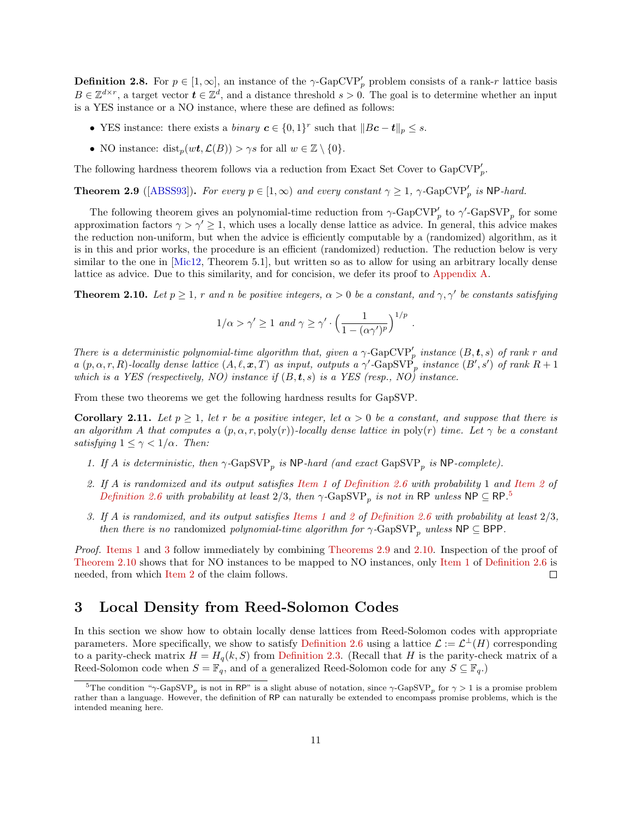<span id="page-10-8"></span>**Definition 2.8.** For  $p \in [1, \infty]$ , an instance of the  $\gamma$ -GapCVP'<sub>p</sub> problem consists of a rank-r lattice basis  $B \in \mathbb{Z}^{d \times r}$ , a target vector  $t \in \mathbb{Z}^d$ , and a distance threshold  $s > 0$ . The goal is to determine whether an input is a YES instance or a NO instance, where these are defined as follows:

- YES instance: there exists a *binary*  $c \in \{0,1\}^r$  such that  $||Bc-t||_p \leq s$ .
- NO instance: dist<sub>p</sub> $(wt, \mathcal{L}(B)) > \gamma s$  for all  $w \in \mathbb{Z} \setminus \{0\}.$

The following hardness theorem follows via a reduction from Exact Set Cover to  $Gap\text{CVP}_p'.$ 

<span id="page-10-5"></span>**Theorem 2.9** ([\[ABSS93\]](#page-20-17)). For every  $p \in [1,\infty)$  and every constant  $\gamma \geq 1$ ,  $\gamma$ -GapCVP'<sub>p</sub> is NP-hard.

The following theorem gives an polynomial-time reduction from  $\gamma$ -GapCVP<sub>p</sub> to  $\gamma$ -GapSVP<sub>p</sub> for some approximation factors  $\gamma > \gamma' \geq 1$ , which uses a locally dense lattice as advice. In general, this advice makes the reduction non-uniform, but when the advice is efficiently computable by a (randomized) algorithm, as it is in this and prior works, the procedure is an efficient (randomized) reduction. The reduction below is very similar to the one in [\[Mic12,](#page-21-5) Theorem 5.1], but written so as to allow for using an arbitrary locally dense lattice as advice. Due to this similarity, and for concision, we defer its proof to [Appendix A.](#page-22-2)

<span id="page-10-1"></span>**Theorem 2.10.** Let  $p \ge 1$ , r and n be positive integers,  $\alpha > 0$  be a constant, and  $\gamma$ ,  $\gamma'$  be constants satisfying

$$
1/\alpha > \gamma' \ge 1 \text{ and } \gamma \ge \gamma' \cdot \left(\frac{1}{1 - (\alpha \gamma')^p}\right)^{1/p}
$$

.

There is a deterministic polynomial-time algorithm that, given a  $\gamma$ -GapCVP'<sub>p</sub> instance  $(B, t, s)$  of rank r and a  $(p, \alpha, r, R)$ -locally dense lattice  $(A, \ell, \mathbf{x}, T)$  as input, outputs a  $\gamma'$ -GapSVP<sub>p</sub> instance  $(B', s')$  of rank  $R + 1$ which is a YES (respectively, NO) instance if  $(B, t, s)$  is a YES (resp., NO) instance.

<span id="page-10-7"></span>From these two theorems we get the following hardness results for GapSVP.

**Corollary 2.11.** Let  $p \ge 1$ , let r be a positive integer, let  $\alpha > 0$  be a constant, and suppose that there is an algorithm A that computes a  $(p, \alpha, r, \text{poly}(r))$ -locally dense lattice in  $\text{poly}(r)$  time. Let  $\gamma$  be a constant satisfying  $1 \leq \gamma < 1/\alpha$ . Then:

- <span id="page-10-3"></span>1. If A is deterministic, then  $\gamma$ -GapSVP<sub>p</sub> is NP-hard (and exact GapSVP<sub>p</sub> is NP-complete).
- <span id="page-10-6"></span>2. If A is randomized and its output satisfies [Item 1](#page-9-4) of [Definition 2.6](#page-9-0) with probability 1 and [Item 2](#page-9-3) of [Definition 2.6](#page-9-0) with probability at least 2/3, then  $\gamma$ -GapSVP<sub>p</sub> is not in RP unless NP  $\subseteq$  RP.<sup>[5](#page-10-2)</sup>
- <span id="page-10-4"></span>3. If A is randomized, and its output satisfies [Items 1](#page-9-4) and [2](#page-9-3) of [Definition 2.6](#page-9-0) with probability at least 2/3, then there is no randomized polynomial-time algorithm for  $\gamma$ -GapSVP<sub>p</sub> unless NP  $\subseteq$  BPP.

Proof. [Items 1](#page-10-3) and [3](#page-10-4) follow immediately by combining [Theorems 2.9](#page-10-5) and [2.10.](#page-10-1) Inspection of the proof of [Theorem 2.10](#page-10-1) shows that for NO instances to be mapped to NO instances, only [Item 1](#page-9-4) of [Definition 2.6](#page-9-0) is needed, from which [Item 2](#page-10-6) of the claim follows.  $\Box$ 

## <span id="page-10-0"></span>3 Local Density from Reed-Solomon Codes

In this section we show how to obtain locally dense lattices from Reed-Solomon codes with appropriate parameters. More specifically, we show to satisfy [Definition 2.6](#page-9-0) using a lattice  $\mathcal{L} := \mathcal{L}^{\perp}(H)$  corresponding to a parity-check matrix  $H = H_q(k, S)$  from [Definition 2.3.](#page-7-2) (Recall that H is the parity-check matrix of a Reed-Solomon code when  $S = \mathbb{F}_q$ , and of a generalized Reed-Solomon code for any  $S \subseteq \mathbb{F}_q$ .

<span id="page-10-2"></span><sup>&</sup>lt;sup>5</sup>The condition "γ-GapSVP<sub>p</sub> is not in RP" is a slight abuse of notation, since γ-GapSVP<sub>p</sub> for  $\gamma > 1$  is a promise problem rather than a language. However, the definition of RP can naturally be extended to encompass promise problems, which is the intended meaning here.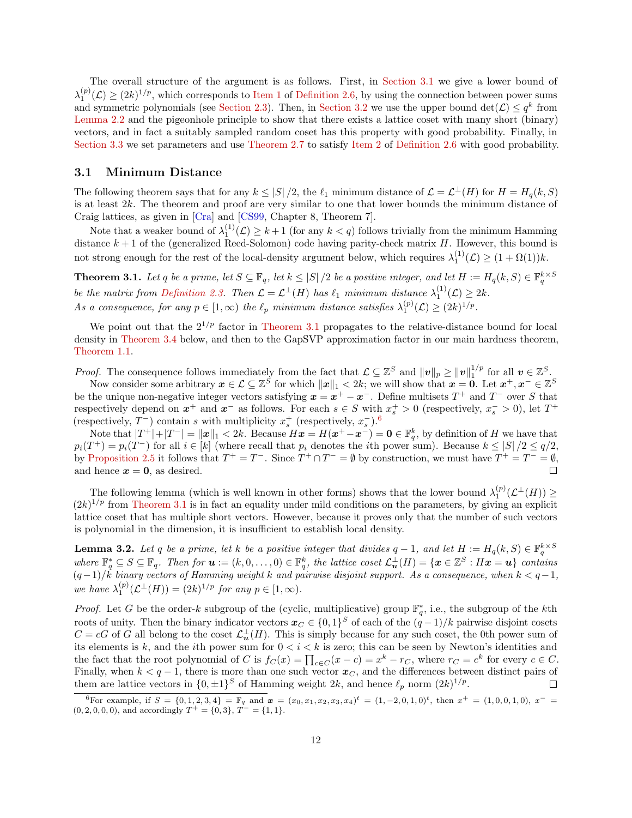<span id="page-11-4"></span>The overall structure of the argument is as follows. First, in [Section 3.1](#page-11-1) we give a lower bound of  $\lambda_1^{(p)}(\mathcal{L}) \geq (2k)^{1/p}$ , which corresponds to [Item 1](#page-9-4) of [Definition 2.6,](#page-9-0) by using the connection between power sums and symmetric polynomials (see [Section 2.3\)](#page-8-2). Then, in [Section 3.2](#page-12-1) we use the upper bound  $\det(\mathcal{L}) \leq q^k$  from [Lemma 2.2](#page-7-0) and the pigeonhole principle to show that there exists a lattice coset with many short (binary) vectors, and in fact a suitably sampled random coset has this property with good probability. Finally, in [Section 3.3](#page-12-2) we set parameters and use [Theorem 2.7](#page-9-1) to satisfy [Item 2](#page-9-3) of [Definition 2.6](#page-9-0) with good probability.

#### <span id="page-11-1"></span>3.1 Minimum Distance

The following theorem says that for any  $k \leq |S|/2$ , the  $\ell_1$  minimum distance of  $\mathcal{L} = \mathcal{L}^{\perp}(H)$  for  $H = H_q(k, S)$ is at least 2k. The theorem and proof are very similar to one that lower bounds the minimum distance of Craig lattices, as given in [\[Cra\]](#page-20-7) and [\[CS99,](#page-20-6) Chapter 8, Theorem 7].

Note that a weaker bound of  $\lambda_1^{(1)}(\mathcal{L}) \geq k+1$  (for any  $k < q$ ) follows trivially from the minimum Hamming distance  $k + 1$  of the (generalized Reed-Solomon) code having parity-check matrix H. However, this bound is not strong enough for the rest of the local-density argument below, which requires  $\lambda_1^{(1)}(\mathcal{L}) \geq (1 + \Omega(1))k$ .

<span id="page-11-0"></span>**Theorem 3.1.** Let q be a prime, let  $S \subseteq \mathbb{F}_q$ , let  $k \leq |S|/2$  be a positive integer, and let  $H := H_q(k, S) \in \mathbb{F}_q^{k \times S}$ be the matrix from [Definition 2.3.](#page-7-2) Then  $\mathcal{L} = \mathcal{L}^{\perp}(H)$  has  $\ell_1$  minimum distance  $\lambda_1^{(1)}(\mathcal{L}) \geq 2k$ . As a consequence, for any  $p \in [1, \infty)$  the  $\ell_p$  minimum distance satisfies  $\lambda_1^{(p)}(\mathcal{L}) \geq (2k)^{1/p}$ .

We point out that the  $2^{1/p}$  factor in [Theorem 3.1](#page-11-0) propagates to the relative-distance bound for local density in [Theorem 3.4](#page-12-3) below, and then to the GapSVP approximation factor in our main hardness theorem, [Theorem 1.1.](#page-2-0)

*Proof.* The consequence follows immediately from the fact that  $\mathcal{L} \subseteq \mathbb{Z}^S$  and  $\|\mathbf{v}\|_p \ge \|\mathbf{v}\|_1^{1/p}$  for all  $\mathbf{v} \in \mathbb{Z}^S$ .

Now consider some arbitrary  $x \in \mathcal{L} \subseteq \mathbb{Z}^S$  for which  $||x||_1 < 2k$ ; we will show that  $x = 0$ . Let  $x^+, x^- \in \mathbb{Z}^S$ be the unique non-negative integer vectors satisfying  $x = x^+ - x^-$ . Define multisets  $T^+$  and  $T^-$  over S that respectively depend on  $x^+$  and  $x^-$  as follows. For each  $s \in S$  with  $x_s^+ > 0$  (respectively,  $x_s^- > 0$ ), let  $T^+$ (respectively,  $T^-)$  contain  $s$  with multiplicity  $x_s^+$  (respectively,  $x_s^-)^{\ 6}$  $x_s^-)^{\ 6}$  $x_s^-)^{\ 6}$ 

Note that  $|T^+|+|T^-| = \|x\|_1 < 2k$ . Because  $Hx = H(x^+ - x^-) = \mathbf{0} \in \mathbb{F}_q^k$ , by definition of H we have that  $p_i(T^+) = p_i(T^-)$  for all  $i \in [k]$  (where recall that  $p_i$  denotes the *i*th power sum). Because  $k \leq |S|/2 \leq q/2$ , by [Proposition 2.5](#page-9-5) it follows that  $T^+ = T^-$ . Since  $T^+ \cap T^- = \emptyset$  by construction, we must have  $T^+ = T^- = \emptyset$ , and hence  $x = 0$ , as desired.  $\Box$ 

The following lemma (which is well known in other forms) shows that the lower bound  $\lambda_1^{(p)}(\mathcal{L}^{\perp}(H)) \geq$  $(2k)^{1/p}$  from [Theorem 3.1](#page-11-0) is in fact an equality under mild conditions on the parameters, by giving an explicit lattice coset that has multiple short vectors. However, because it proves only that the number of such vectors is polynomial in the dimension, it is insufficient to establish local density.

<span id="page-11-3"></span>**Lemma 3.2.** Let q be a prime, let k be a positive integer that divides  $q-1$ , and let  $H := H_q(k, S) \in \mathbb{F}_q^{k \times S}$ <br>where  $\mathbb{F}_q^* \subseteq S \subseteq \mathbb{F}_q$ . Then for  $\mathbf{u} := (k, 0, \ldots, 0) \in \mathbb{F}_q^k$ , the lattice coset  $\mathcal{L}_{\mathbf{u}}^{\$  $(q-1)/k$  binary vectors of Hamming weight k and pairwise disjoint support. As a consequence, when  $k < q-1$ , we have  $\lambda_1^{(p)}(\mathcal{L}^{\perp}(H)) = (2k)^{1/p}$  for any  $p \in [1, \infty)$ .

*Proof.* Let G be the order-k subgroup of the (cyclic, multiplicative) group  $\mathbb{F}_q^*$ , i.e., the subgroup of the kth roots of unity. Then the binary indicator vectors  $x_C \in \{0,1\}^S$  of each of the  $(q-1)/k$  pairwise disjoint cosets  $C = cG$  of G all belong to the coset  $\mathcal{L}_{\mathbf{u}}^{\perp}(H)$ . This is simply because for any such coset, the 0th power sum of its elements is k, and the *i*th power sum for  $0 < i < k$  is zero; this can be seen by Newton's identities and the fact that the root polynomial of C is  $f_C(x) = \prod_{c \in C} (x - c) = x^k - r_C$ , where  $r_C = c^k$  for every  $c \in C$ . Finally, when  $k < q - 1$ , there is more than one such vector  $x_C$ , and the differences between distinct pairs of them are lattice vectors in  $\{0, \pm 1\}^S$  of Hamming weight  $2k$ , and hence  $\ell_p$  norm  $(2k)^{1/p}$ .  $\Box$ 

<span id="page-11-2"></span><sup>6</sup>For example, if  $S = \{0, 1, 2, 3, 4\} = \mathbb{F}_q$  and  $\boldsymbol{x} = (x_0, x_1, x_2, x_3, x_4)^t = (1, -2, 0, 1, 0)^t$ , then  $x^+ = (1, 0, 0, 1, 0)$ ,  $x^- =$  $(0, 2, 0, 0, 0)$ , and accordingly  $T^+ = \{0, 3\}, T^- = \{1, 1\}.$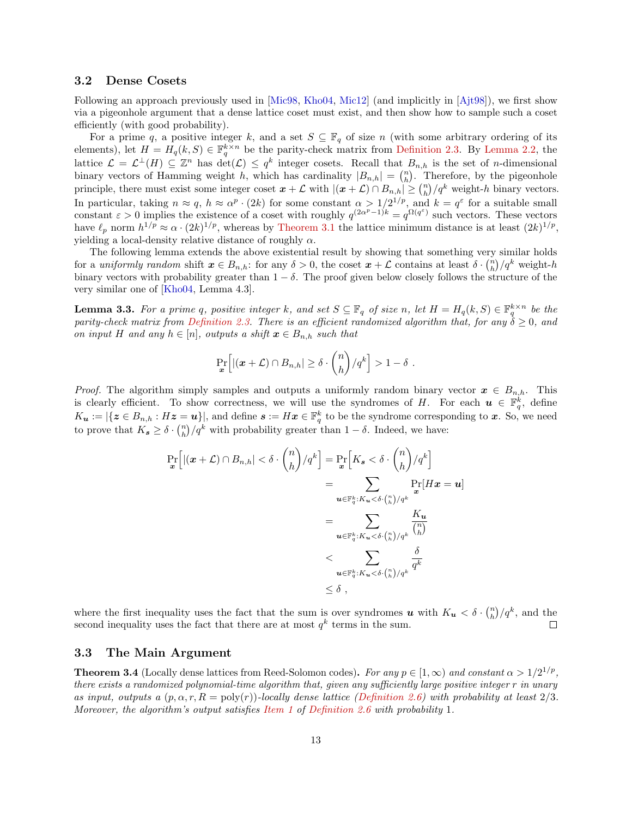#### <span id="page-12-4"></span><span id="page-12-1"></span>3.2 Dense Cosets

Following an approach previously used in [\[Mic98,](#page-21-1) [Kho04,](#page-21-3) [Mic12\]](#page-21-5) (and implicitly in [\[Ajt98\]](#page-20-0)), we first show via a pigeonhole argument that a dense lattice coset must exist, and then show how to sample such a coset efficiently (with good probability).

For a prime q, a positive integer k, and a set  $S \subseteq \mathbb{F}_q$  of size n (with some arbitrary ordering of its elements), let  $H = H_q(k, S) \in \mathbb{F}_q^{k \times n}$  be the parity-check matrix from [Definition 2.3.](#page-7-2) By [Lemma 2.2,](#page-7-0) the lattice  $\mathcal{L} = \mathcal{L}^{\perp}(H) \subseteq \mathbb{Z}^n$  has  $\det(\mathcal{L}) \leq q^k$  integer cosets. Recall that  $B_{n,h}$  is the set of *n*-dimensional binary vectors of Hamming weight h, which has cardinality  $|B_{n,h}| = \binom{n}{h}$ . Therefore, by the pigeonhole principle, there must exist some integer coset  $x + \mathcal{L}$  with  $|(x + \mathcal{L}) \cap B_{n,h}| \geq {n \choose h} / q^k$  weight-h binary vectors. In particular, taking  $n \approx q$ ,  $h \approx \alpha^p \cdot (2k)$  for some constant  $\alpha > 1/2^{1/p}$ , and  $k = q^{\varepsilon}$  for a suitable small constant  $\varepsilon > 0$  implies the existence of a coset with roughly  $q^{(2\alpha^p-1)k} = q^{\Omega(q^{\varepsilon})}$  such vectors. These vectors have  $\ell_p$  norm  $h^{1/p} \approx \alpha \cdot (2k)^{1/p}$ , whereas by [Theorem 3.1](#page-11-0) the lattice minimum distance is at least  $(2k)^{1/p}$ , yielding a local-density relative distance of roughly  $\alpha$ .

The following lemma extends the above existential result by showing that something very similar holds for a uniformly random shift  $x \in B_{n,h}$ : for any  $\delta > 0$ , the coset  $x + \mathcal{L}$  contains at least  $\delta \cdot {n \choose h}/q^k$  weight-h binary vectors with probability greater than  $1 - \delta$ . The proof given below closely follows the structure of the very similar one of [\[Kho04,](#page-21-3) Lemma 4.3].

<span id="page-12-0"></span>**Lemma 3.3.** For a prime q, positive integer k, and set  $S \subseteq \mathbb{F}_q$  of size n, let  $H = H_q(k, S) \in \mathbb{F}_q^{k \times n}$  be the parity-check matrix from [Definition 2.3.](#page-7-2) There is an efficient randomized algorithm that, for any  $\delta \geq 0$ , and on input H and any  $h \in [n]$ , outputs a shift  $x \in B_{n,h}$  such that

$$
\Pr_{\boldsymbol{x}}\Big[ |(\boldsymbol{x}+\mathcal{L}) \cap B_{n,h}| \geq \delta \cdot {n \choose h}/q^k \Big] > 1-\delta.
$$

*Proof.* The algorithm simply samples and outputs a uniformly random binary vector  $x \in B_{n,h}$ . This is clearly efficient. To show correctness, we will use the syndromes of H. For each  $u \in \mathbb{F}_q^k$ , define  $K_{\boldsymbol{u}} := |\{ \boldsymbol{z} \in B_{n,h} : H\boldsymbol{z} = \boldsymbol{u} \}|$ , and define  $\boldsymbol{s} := H\boldsymbol{x} \in \mathbb{F}_q^k$  to be the syndrome corresponding to  $\boldsymbol{x}$ . So, we need to prove that  $K_s \geq \delta \cdot {n \choose h}/q^k$  with probability greater than  $1 - \delta$ . Indeed, we have:

$$
\Pr_{\boldsymbol{x}}\left[ |(\boldsymbol{x} + \mathcal{L}) \cap B_{n,h}| < \delta \cdot \binom{n}{h} / q^k \right] = \Pr_{\boldsymbol{x}}\left[ K_{\boldsymbol{s}} < \delta \cdot \binom{n}{h} / q^k \right] \\
= \sum_{\boldsymbol{u} \in \mathbb{F}_q^k : K_{\boldsymbol{u}} < \delta \cdot \binom{n}{h} / q^k} \Pr_{\boldsymbol{x}}[H\boldsymbol{x} = \boldsymbol{u}] \\
= \sum_{\boldsymbol{u} \in \mathbb{F}_q^k : K_{\boldsymbol{u}} < \delta \cdot \binom{n}{h} / q^k} \frac{K_{\boldsymbol{u}}}{\binom{n}{h}} \\
\leq \sum_{\boldsymbol{u} \in \mathbb{F}_q^k : K_{\boldsymbol{u}} < \delta \cdot \binom{n}{h} / q^k} \frac{\delta}{q^k} \\
\leq \delta \ ,
$$

where the first inequality uses the fact that the sum is over syndromes  $u$  with  $K_u < \delta \cdot {n \choose h}/q^k$ , and the second inequality uses the fact that there are at most  $q^k$  terms in the sum.  $\Box$ 

#### <span id="page-12-2"></span>3.3 The Main Argument

<span id="page-12-3"></span>**Theorem 3.4** (Locally dense lattices from Reed-Solomon codes). For any  $p \in [1,\infty)$  and constant  $\alpha > 1/2^{1/p}$ , there exists a randomized polynomial-time algorithm that, given any sufficiently large positive integer r in unary as input, outputs a  $(p, \alpha, r, R = \text{poly}(r))$ -locally dense lattice [\(Definition 2.6\)](#page-9-0) with probability at least 2/3. Moreover, the algorithm's output satisfies [Item 1](#page-9-4) of [Definition 2.6](#page-9-0) with probability 1.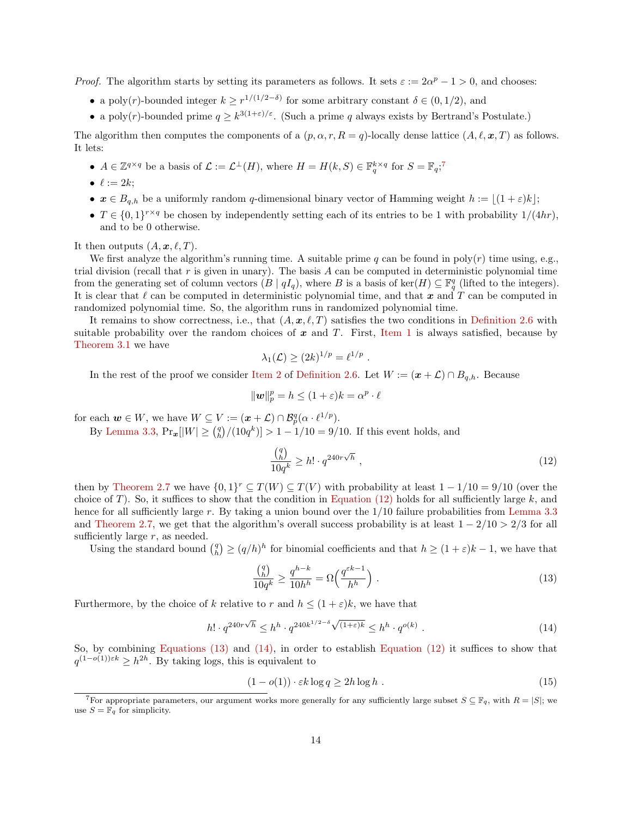*Proof.* The algorithm starts by setting its parameters as follows. It sets  $\varepsilon := 2\alpha^p - 1 > 0$ , and chooses:

- a poly(r)-bounded integer  $k \geq r^{1/(1/2-\delta)}$  for some arbitrary constant  $\delta \in (0,1/2)$ , and
- a poly(r)-bounded prime  $q \geq k^{3(1+\varepsilon)/\varepsilon}$ . (Such a prime q always exists by Bertrand's Postulate.)

The algorithm then computes the components of a  $(p, \alpha, r, R = q)$ -locally dense lattice  $(A, \ell, \mathbf{x}, T)$  as follows. It lets:

- $A \in \mathbb{Z}^{q \times q}$  be a basis of  $\mathcal{L} := \mathcal{L}^{\perp}(H)$ , where  $H = H(k, S) \in \mathbb{F}_q^{k \times q}$  for  $S = \mathbb{F}_q$ ;
- $\ell := 2k$ ;
- $x \in B_{q,h}$  be a uniformly random q-dimensional binary vector of Hamming weight  $h := \lfloor (1 + \varepsilon)k \rfloor;$
- $T \in \{0,1\}^{r \times q}$  be chosen by independently setting each of its entries to be 1 with probability  $1/(4hr)$ , and to be 0 otherwise.

It then outputs  $(A, \mathbf{x}, \ell, T)$ .

We first analyze the algorithm's running time. A suitable prime q can be found in  $\text{poly}(r)$  time using, e.g., trial division (recall that  $r$  is given in unary). The basis  $A$  can be computed in deterministic polynomial time from the generating set of column vectors  $(B | qI_q)$ , where B is a basis of ker $(H) \subseteq \mathbb{F}_q^q$  (lifted to the integers). It is clear that  $\ell$  can be computed in deterministic polynomial time, and that x and T can be computed in randomized polynomial time. So, the algorithm runs in randomized polynomial time.

It remains to show correctness, i.e., that  $(A, x, \ell, T)$  satisfies the two conditions in [Definition 2.6](#page-9-0) with suitable probability over the random choices of  $x$  and  $T$ . First, [Item 1](#page-9-4) is always satisfied, because by [Theorem 3.1](#page-11-0) we have

$$
\lambda_1(\mathcal{L}) \ge (2k)^{1/p} = \ell^{1/p}
$$

.

In the rest of the proof we consider [Item 2](#page-9-3) of [Definition 2.6.](#page-9-0) Let  $W := (\boldsymbol{x} + \mathcal{L}) \cap B_{q,h}$ . Because

$$
\|\mathbf{w}\|_p^p = h \le (1+\varepsilon)k = \alpha^p \cdot \ell
$$

for each  $w \in W$ , we have  $W \subseteq V := (\boldsymbol{x} + \mathcal{L}) \cap \mathcal{B}_{p}^{q}(\alpha \cdot \ell^{1/p}).$ 

By [Lemma 3.3,](#page-12-0)  $Pr_{\bm{x}}[|W| \geq {q \choose h}/(10q^k)] > 1 - 1/10 = 9/10$ . If this event holds, and

<span id="page-13-1"></span>
$$
\frac{\binom{q}{h}}{10q^k} \ge h! \cdot q^{240r\sqrt{h}} \tag{12}
$$

then by [Theorem 2.7](#page-9-1) we have  $\{0,1\}^r \subseteq T(W) \subseteq T(V)$  with probability at least  $1 - 1/10 = 9/10$  (over the choice of T). So, it suffices to show that the condition in [Equation \(12\)](#page-13-1) holds for all sufficiently large k, and hence for all sufficiently large r. By taking a union bound over the 1/10 failure probabilities from [Lemma 3.3](#page-12-0) and [Theorem 2.7,](#page-9-1) we get that the algorithm's overall success probability is at least  $1 - 2/10 > 2/3$  for all sufficiently large  $r$ , as needed.

Using the standard bound  $\binom{q}{h} \geq (q/h)^h$  for binomial coefficients and that  $h \geq (1+\varepsilon)k-1$ , we have that

<span id="page-13-2"></span>
$$
\frac{\binom{q}{h}}{10q^k} \ge \frac{q^{h-k}}{10h^h} = \Omega\left(\frac{q^{\varepsilon k - 1}}{h^h}\right). \tag{13}
$$

Furthermore, by the choice of k relative to r and  $h \leq (1+\varepsilon)k$ , we have that

<span id="page-13-3"></span>
$$
h! \cdot q^{240r\sqrt{h}} \le h^h \cdot q^{240k^{1/2-\delta}\sqrt{(1+\varepsilon)k}} \le h^h \cdot q^{o(k)} \ . \tag{14}
$$

So, by combining [Equations \(13\)](#page-13-2) and [\(14\),](#page-13-3) in order to establish [Equation \(12\)](#page-13-1) it suffices to show that  $q^{(1-o(1))\varepsilon k} \geq h^{2h}$ . By taking logs, this is equivalent to

<span id="page-13-4"></span>
$$
(1 - o(1)) \cdot \varepsilon k \log q \ge 2h \log h \tag{15}
$$

<span id="page-13-0"></span><sup>&</sup>lt;sup>7</sup>For appropriate parameters, our argument works more generally for any sufficiently large subset  $S \subseteq \mathbb{F}_q$ , with  $R = |S|$ ; we use  $S = \mathbb{F}_q$  for simplicity.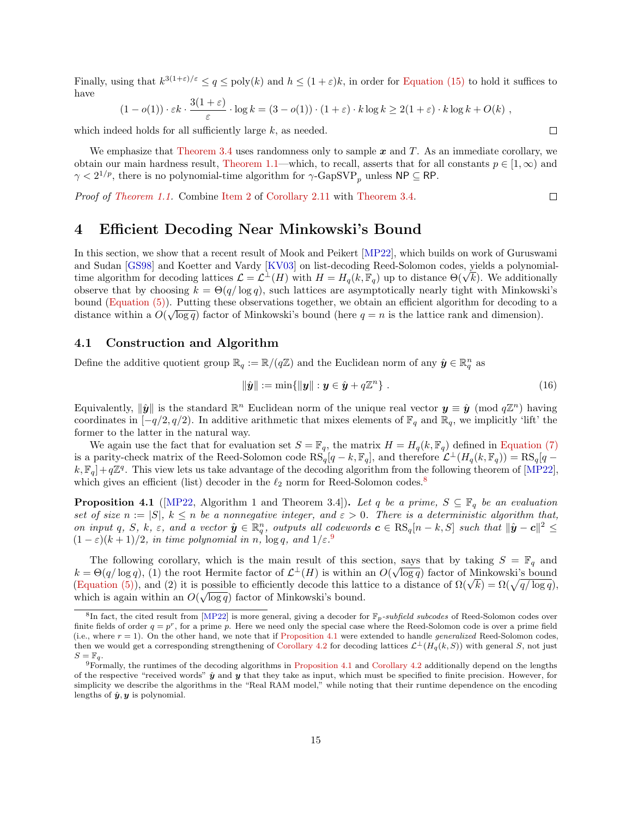<span id="page-14-4"></span>Finally, using that  $k^{3(1+\varepsilon)/\varepsilon} \le q \le \text{poly}(k)$  and  $h \le (1+\varepsilon)k$ , in order for [Equation \(15\)](#page-13-4) to hold it suffices to have

$$
(1 - o(1)) \cdot \varepsilon k \cdot \frac{3(1 + \varepsilon)}{\varepsilon} \cdot \log k = (3 - o(1)) \cdot (1 + \varepsilon) \cdot k \log k \ge 2(1 + \varepsilon) \cdot k \log k + O(k) ,
$$

which indeed holds for all sufficiently large  $k$ , as needed.

We emphasize that [Theorem 3.4](#page-12-3) uses randomness only to sample  $x$  and  $T$ . As an immediate corollary, we obtain our main hardness result, [Theorem 1.1—](#page-2-0)which, to recall, asserts that for all constants  $p \in [1, \infty)$  and  $\gamma < 2^{1/p}$ , there is no polynomial-time algorithm for  $\gamma$ -GapSVP<sub>p</sub> unless NP  $\subseteq$  RP.

Proof of [Theorem 1.1.](#page-2-0) Combine [Item 2](#page-10-6) of [Corollary 2.11](#page-10-7) with [Theorem 3.4.](#page-12-3)

 $\Box$ 

 $\Box$ 

## <span id="page-14-0"></span>4 Efficient Decoding Near Minkowski's Bound

In this section, we show that a recent result of Mook and Peikert [\[MP22\]](#page-21-7), which builds on work of Guruswami and Sudan [\[GS98\]](#page-21-14) and Koetter and Vardy [\[KV03\]](#page-21-15) on list-decoding Reed-Solomon codes, yields a polynomialand Sudan [GS98] and Koetter and Vardy [KV03] on list-decoding Reed-Solomon codes, yields a polynomial-<br>time algorithm for decoding lattices  $\mathcal{L} = \mathcal{L}^{\perp}(H)$  with  $H = H_q(k, \mathbb{F}_q)$  up to distance  $\Theta(\sqrt{k})$ . We additio observe that by choosing  $k = \Theta(q/\log q)$ , such lattices are asymptotically nearly tight with Minkowski's bound (Equation  $(5)$ ). Putting these observations together, we obtain an efficient algorithm for decoding to a distance within a  $O(\sqrt{\log q})$  factor of Minkowski's bound (here  $q = n$  is the lattice rank and dimension).

#### 4.1 Construction and Algorithm

Define the additive quotient group  $\mathbb{R}_q := \mathbb{R}/(q\mathbb{Z})$  and the Euclidean norm of any  $\hat{y} \in \mathbb{R}_q^n$  as

$$
\|\hat{\boldsymbol{y}}\| := \min\{\|\boldsymbol{y}\| : \boldsymbol{y} \in \hat{\boldsymbol{y}} + q\mathbb{Z}^n\} \ . \tag{16}
$$

Equivalently,  $\|\hat{y}\|$  is the standard  $\mathbb{R}^n$  Euclidean norm of the unique real vector  $y \equiv \hat{y} \pmod{q\mathbb{Z}^n}$  having coordinates in  $[-q/2, q/2)$ . In additive arithmetic that mixes elements of  $\mathbb{F}_q$  and  $\mathbb{R}_q$ , we implicitly 'lift' the former to the latter in the natural way.

We again use the fact that for evaluation set  $S = \mathbb{F}_q$ , the matrix  $H = H_q(k, \mathbb{F}_q)$  defined in [Equation \(7\)](#page-7-4) is a parity-check matrix of the Reed-Solomon code  $\text{RS}_q[q-k,\mathbb{F}_q]$ , and therefore  $\mathcal{L}^{\perp}(H_q(k,\mathbb{F}_q)) = \text{RS}_q[q-k,\mathbb{F}_q]$  $k, \mathbb{F}_q]+q\mathbb{Z}^q$ . This view lets us take advantage of the decoding algorithm from the following theorem of [\[MP22\]](#page-21-7), which gives an efficient (list) decoder in the  $\ell_2$  norm for Reed-Solomon codes.<sup>[8](#page-14-1)</sup>

<span id="page-14-3"></span>**Proposition 4.1** ([\[MP22,](#page-21-7) Algorithm 1 and Theorem 3.4]). Let q be a prime,  $S \subseteq \mathbb{F}_q$  be an evaluation set of size  $n := |S|$ ,  $k \leq n$  be a nonnegative integer, and  $\varepsilon > 0$ . There is a deterministic algorithm that, on input q, S, k,  $\varepsilon$ , and a vector  $\hat{y} \in \mathbb{R}_q^n$ , outputs all codewords  $c \in \text{RS}_q[n-k, S]$  such that  $\|\hat{y} - c\|^2 \leq$  $(1 - \varepsilon)(k + 1)/2$ , in time polynomial in n,  $\log q$ , and  $1/\varepsilon$ .

The following corollary, which is the main result of this section, says that by taking  $S = \mathbb{F}_q$  and  $k = \Theta(q/\log q)$ , (1) the root Hermite factor of  $\mathcal{L}^{\perp}(H)$  is within an  $O(\sqrt{\log q})$  factor of Minkowski's bound  $\kappa = \Theta(q/\log q)$ , (1) the root Hermite factor of  $\mathcal{L}^{\pm}(H)$  is within an  $O(\sqrt{\log q})$  factor of Minkowski's bound<br>[\(Equation \(5\)\)](#page-7-3), and (2) it is possible to efficiently decode this lattice to a distance of  $\Omega(\sqrt{k}) = \Omega(\sqrt{q/\log q})$ which is again within an  $O(\sqrt{\log q})$  factor of Minkowski's bound.

<span id="page-14-1"></span><sup>&</sup>lt;sup>8</sup>In fact, the cited result from [\[MP22\]](#page-21-7) is more general, giving a decoder for  $\mathbb{F}_p$ -subfield subcodes of Reed-Solomon codes over finite fields of order  $q = p^r$ , for a prime p. Here we need only the special case where the Reed-Solomon code is over a prime field (i.e., where  $r = 1$ ). On the other hand, we note that if [Proposition 4.1](#page-14-3) were extended to handle *generalized* Reed-Solomon codes, then we would get a corresponding strengthening of [Corollary 4.2](#page-15-0) for decoding lattices  $\mathcal{L}^{\perp}(H_q(k, S))$  with general S, not just  $S=\mathbb{F}_q$ .

<span id="page-14-2"></span><sup>9</sup>Formally, the runtimes of the decoding algorithms in [Proposition 4.1](#page-14-3) and [Corollary 4.2](#page-15-0) additionally depend on the lengths of the respective "received words"  $\hat{y}$  and y that they take as input, which must be specified to finite precision. However, for simplicity we describe the algorithms in the "Real RAM model," while noting that their runtime dependence on the encoding lengths of  $\hat{y}, y$  is polynomial.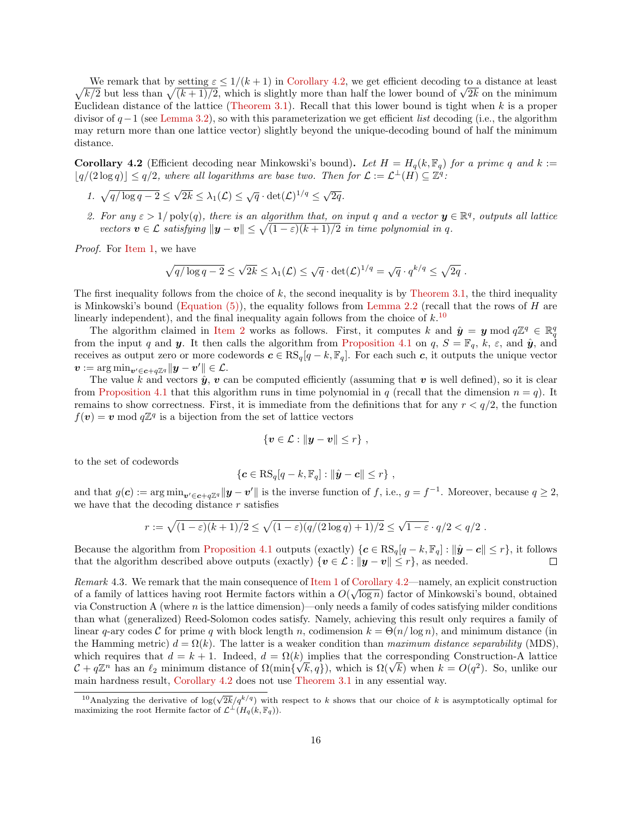We remark that by setting  $\varepsilon \leq 1/(k+1)$  in Corollary 4.2, we get efficient decoding to a distance at least  $\sqrt{k/2}$  but less than  $\sqrt{(k+1)/2}$ , which is slightly more than half the lower bound of  $\sqrt{2k}$  on the minimum We remark that by setting  $\varepsilon \leq 1/(k+1)$  in [Corollary 4.2,](#page-15-0) we get efficient decoding to a distance at least Euclidean distance of the lattice [\(Theorem 3.1\)](#page-11-0). Recall that this lower bound is tight when  $k$  is a proper divisor of  $q-1$  (see [Lemma 3.2\)](#page-11-3), so with this parameterization we get efficient *list* decoding (i.e., the algorithm may return more than one lattice vector) slightly beyond the unique-decoding bound of half the minimum distance.

<span id="page-15-0"></span>**Corollary 4.2** (Efficient decoding near Minkowski's bound). Let  $H = H_q(k, \mathbb{F}_q)$  for a prime q and k :=  $\lfloor q/(2\log q)\rfloor \leq q/2$ , where all logarithms are base two. Then for  $\mathcal{L} := \mathcal{L}^{\perp}(H) \subseteq \mathbb{Z}^{q}$ .

- <span id="page-15-1"></span>1.  $\sqrt{q/\log q - 2} \leq$ √  $\overline{2k} \leq \lambda_1(\mathcal{L}) \leq \sqrt{q} \cdot \det(\mathcal{L})^{1/q} \leq \sqrt{2q}.$
- <span id="page-15-3"></span>2. For any  $\varepsilon > 1/\text{poly}(q)$ , there is an algorithm that, on input q and a vector  $y \in \mathbb{R}^q$ , outputs all lattice vectors  $\mathbf{v} \in \mathcal{L}$  satisfying  $\|\mathbf{y} - \mathbf{v}\| \leq \sqrt{(1 - \varepsilon)(k + 1)/2}$  in time polynomial in q.

Proof. For [Item 1,](#page-15-1) we have

$$
\sqrt{q/\log q-2} \leq \sqrt{2k} \leq \lambda_1(\mathcal{L}) \leq \sqrt{q} \cdot \det(\mathcal{L})^{1/q} = \sqrt{q} \cdot q^{k/q} \leq \sqrt{2q}.
$$

The first inequality follows from the choice of  $k$ , the second inequality is by [Theorem 3.1,](#page-11-0) the third inequality is Minkowski's bound (Equation  $(5)$ ), the equality follows from [Lemma 2.2](#page-7-0) (recall that the rows of H are linearly independent), and the final inequality again follows from the choice of  $k$ .<sup>[10](#page-15-2)</sup>

The algorithm claimed in [Item 2](#page-15-3) works as follows. First, it computes k and  $\hat{\mathbf{y}} = \mathbf{y} \bmod q\mathbb{Z}^q \in \mathbb{R}^q$ from the input q and y. It then calls the algorithm from [Proposition 4.1](#page-14-3) on q,  $S = \mathbb{F}_q$ , k,  $\varepsilon$ , and  $\hat{y}$ , and receives as output zero or more codewords  $c \in \text{RS}_q[q - k, \mathbb{F}_q]$ . For each such c, it outputs the unique vector  $\boldsymbol{v} := \argmin_{\boldsymbol{v}'\in \boldsymbol{c}+q\mathbb{Z}^q} \lVert \boldsymbol{y}-\boldsymbol{v}' \rVert \in \mathcal{L}.$ 

The value k and vectors  $\hat{y}$ , v can be computed efficiently (assuming that v is well defined), so it is clear from [Proposition 4.1](#page-14-3) that this algorithm runs in time polynomial in q (recall that the dimension  $n = q$ ). It remains to show correctness. First, it is immediate from the definitions that for any  $r < q/2$ , the function  $f(\boldsymbol{v}) = \boldsymbol{v} \bmod q\mathbb{Z}^q$  is a bijection from the set of lattice vectors

$$
\{\boldsymbol{v}\in\mathcal{L}:\|\boldsymbol{y}-\boldsymbol{v}\|\leq r\}\;,
$$

to the set of codewords

$$
\{\boldsymbol{c}\in\mathrm{RS}_{q}[q-k,\mathbb{F}_{q}]:\|\hat{\boldsymbol{y}}-\boldsymbol{c}\|\leq r\},\
$$

and that  $g(c) := \arg \min_{v' \in c + q\mathbb{Z}^q} ||y - v'||$  is the inverse function of f, i.e.,  $g = f^{-1}$ . Moreover, because  $q \geq 2$ , we have that the decoding distance  $r$  satisfies

$$
r := \sqrt{(1-\varepsilon)(k+1)/2} \leq \sqrt{(1-\varepsilon)(q/(2\log q)+1)/2} \leq \sqrt{1-\varepsilon} \cdot q/2 < q/2.
$$

Because the algorithm from [Proposition 4.1](#page-14-3) outputs (exactly)  $\{c \in \text{RS}_q[q - k, \mathbb{F}_q] : ||\hat{\mathbf{y}} - \mathbf{c}|| \leq r\}$ , it follows that the algorithm described above outputs (exactly)  $\{v \in \mathcal{L} : ||y - v|| \leq r\}$ , as needed.  $\Box$ 

Remark 4.3. We remark that the main consequence of [Item 1](#page-15-1) of [Corollary 4.2—](#page-15-0)namely, an explicit construction of a family of lattices having root Hermite factors within a  $O(\sqrt{\log n})$  factor of Minkowski's bound, obtained via Construction A (where  $n$  is the lattice dimension)—only needs a family of codes satisfying milder conditions than what (generalized) Reed-Solomon codes satisfy. Namely, achieving this result only requires a family of linear q-ary codes C for prime q with block length n, codimension  $k = \Theta(n/\log n)$ , and minimum distance (in the Hamming metric)  $d = \Omega(k)$ . The latter is a weaker condition than maximum distance separability (MDS). which requires that  $d = k + 1$ . Indeed,  $d = \Omega(k)$  implies that the corresponding Construction-A lattice which requires that  $d = k + 1$ . Indeed,  $d = \Omega(k)$  implies that the corresponding Construction-A lattice  $C + q\mathbb{Z}^n$  has an  $\ell_2$  minimum distance of  $\Omega(\min\{\sqrt{k}, q\})$ , which is  $\Omega(\sqrt{k})$  when  $k = O(q^2)$ . So, unlike our main hardness result, [Corollary 4.2](#page-15-0) does not use [Theorem 3.1](#page-11-0) in any essential way.

<span id="page-15-2"></span><sup>&</sup>lt;sup>10</sup>Analyzing the derivative of  $\log(\sqrt{2k}/q^{k/q})$  with respect to k shows that our choice of k is asymptotically optimal for maximizing the root Hermite factor of  $\mathcal{L}^{\perp}(H_q(k, \mathbb{F}_q)).$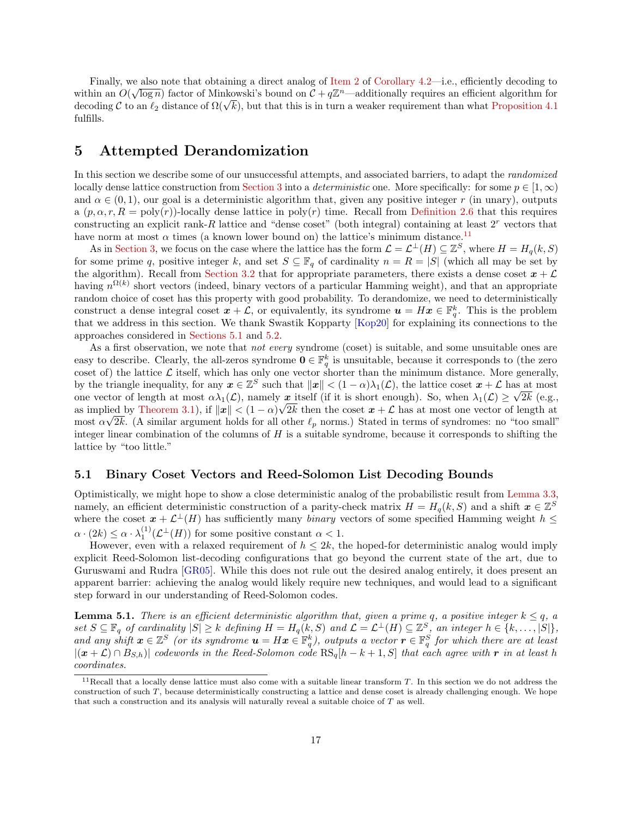<span id="page-16-4"></span>Finally, we also note that obtaining a direct analog of [Item 2](#page-15-3) of [Corollary 4.2—](#page-15-0)i.e., efficiently decoding to within an  $O(\sqrt{\log n})$  factor of Minkowski's bound on  $\mathcal{C} + q\mathbb{Z}^n$ —additionally requires an efficient algorithm for within an  $O(\sqrt{\log n})$  factor of Minkowski's bound on  $\mathcal{L} + q\mathbb{Z}^n$ —additionally requires an efficient algorithm for decoding C to an  $\ell_2$  distance of  $\Omega(\sqrt{k})$ , but that this is in turn a weaker requirement than what fulfills.

## <span id="page-16-0"></span>5 Attempted Derandomization

In this section we describe some of our unsuccessful attempts, and associated barriers, to adapt the randomized locally dense lattice construction from [Section 3](#page-10-0) into a *deterministic* one. More specifically: for some  $p \in [1,\infty)$ and  $\alpha \in (0, 1)$ , our goal is a deterministic algorithm that, given any positive integer r (in unary), outputs a  $(p, \alpha, r, R = \text{poly}(r))$ -locally dense lattice in  $\text{poly}(r)$  time. Recall from [Definition 2.6](#page-9-0) that this requires constructing an explicit rank-R lattice and "dense coset" (both integral) containing at least  $2<sup>r</sup>$  vectors that have norm at most  $\alpha$  times (a known lower bound on) the lattice's minimum distance.<sup>[11](#page-16-2)</sup>

As in [Section 3,](#page-10-0) we focus on the case where the lattice has the form  $\mathcal{L} = \mathcal{L}^{\perp}(H) \subseteq \mathbb{Z}^{S}$ , where  $H = H_q(k, S)$ for some prime q, positive integer k, and set  $S \subseteq \mathbb{F}_q$  of cardinality  $n = R = |S|$  (which all may be set by the algorithm). Recall from [Section 3.2](#page-12-1) that for appropriate parameters, there exists a dense coset  $x + \mathcal{L}$ having  $n^{\Omega(k)}$  short vectors (indeed, binary vectors of a particular Hamming weight), and that an appropriate random choice of coset has this property with good probability. To derandomize, we need to deterministically construct a dense integral coset  $x + \mathcal{L}$ , or equivalently, its syndrome  $u = Hx \in \mathbb{F}_q^k$ . This is the problem that we address in this section. We thank Swastik Kopparty [\[Kop20\]](#page-21-12) for explaining its connections to the approaches considered in [Sections 5.1](#page-16-1) and [5.2.](#page-18-0)

As a first observation, we note that *not every* syndrome (coset) is suitable, and some unsuitable ones are easy to describe. Clearly, the all-zeros syndrome  $\mathbf{0} \in \mathbb{F}_q^k$  is unsuitable, because it corresponds to (the zero coset of) the lattice  $\mathcal L$  itself, which has only one vector shorter than the minimum distance. More generally, by the triangle inequality, for any  $x \in \mathbb{Z}^S$  such that  $||x|| < (1 - \alpha)\lambda_1(\mathcal{L})$ , the lattice coset  $x + \mathcal{L}$  has at most one vector of length at most  $\alpha\lambda_1(\mathcal{L})$ , namely  $\mathcal{L}$  itself (if it is short enough). So, when  $\lambda_1(\mathcal{L}) \geq \sqrt{2k}$  (e.g., as implied by [Theorem 3.1\)](#page-11-0), if  $||x|| < (1 - \alpha)\sqrt{2k}$  then the coset  $x + \mathcal{L}$  has at most one vector of length at most  $\alpha\sqrt{2k}$ . (A similar argument holds for all other  $\ell_p$  norms.) Stated in terms of syndromes: no "too small" integer linear combination of the columns of  $H$  is a suitable syndrome, because it corresponds to shifting the lattice by "too little."

#### <span id="page-16-1"></span>5.1 Binary Coset Vectors and Reed-Solomon List Decoding Bounds

Optimistically, we might hope to show a close deterministic analog of the probabilistic result from [Lemma 3.3,](#page-12-0) namely, an efficient deterministic construction of a parity-check matrix  $H = H_q(k, S)$  and a shift  $\boldsymbol{x} \in \mathbb{Z}^S$ where the coset  $x + \mathcal{L}^{\perp}(H)$  has sufficiently many *binary* vectors of some specified Hamming weight  $h \leq$  $\alpha \cdot (2k) \leq \alpha \cdot \lambda_1^{(1)}(\mathcal{L}^{\perp}(H))$  for some positive constant  $\alpha < 1$ .

However, even with a relaxed requirement of  $h \leq 2k$ , the hoped-for deterministic analog would imply explicit Reed-Solomon list-decoding configurations that go beyond the current state of the art, due to Guruswami and Rudra [\[GR05\]](#page-20-9). While this does not rule out the desired analog entirely, it does present an apparent barrier: achieving the analog would likely require new techniques, and would lead to a significant step forward in our understanding of Reed-Solomon codes.

<span id="page-16-3"></span>**Lemma 5.1.** There is an efficient deterministic algorithm that, given a prime q, a positive integer  $k \leq q$ , a set  $S \subseteq \mathbb{F}_q$  of cardinality  $|S| \geq k$  defining  $H = H_q(k, S)$  and  $\mathcal{L} = \mathcal{L}^{\perp}(H) \subseteq \mathbb{Z}^S$ , an integer  $h \in \{k, \ldots, |S|\}$ , and any shift  $x \in \mathbb{Z}^S$  (or its syndrome  $u = Hx \in \mathbb{F}_q^k$ ), outputs a vector  $r \in \mathbb{F}_q^S$  for which there are at least  $|(x+\mathcal{L}) \cap B_{S,h}|$  codewords in the Reed-Solomon code  $\text{RS}_q[h-k+1, S]$  that each agree with r in at least h coordinates.

<span id="page-16-2"></span><sup>&</sup>lt;sup>11</sup>Recall that a locally dense lattice must also come with a suitable linear transform  $T$ . In this section we do not address the construction of such T, because deterministically constructing a lattice and dense coset is already challenging enough. We hope that such a construction and its analysis will naturally reveal a suitable choice of  $T$  as well.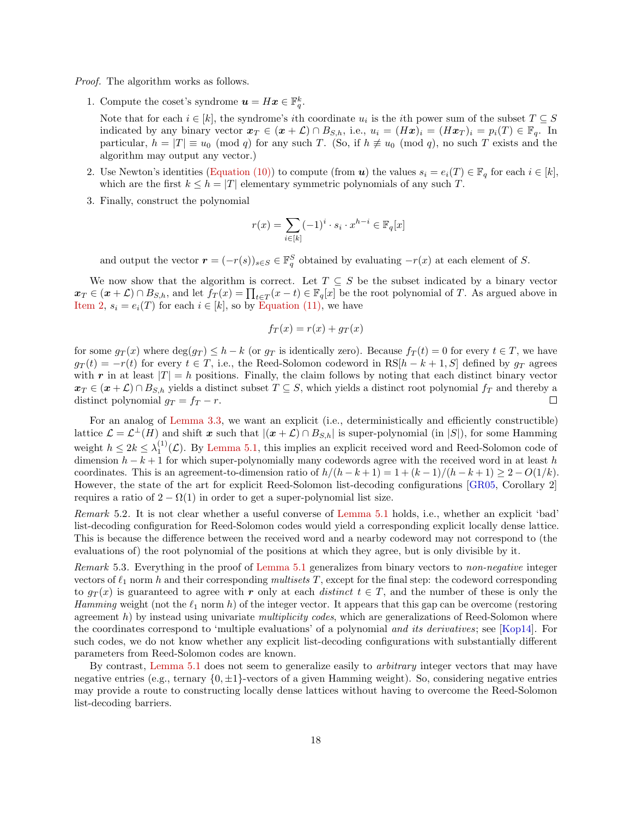<span id="page-17-1"></span>Proof. The algorithm works as follows.

1. Compute the coset's syndrome  $\mathbf{u} = H\mathbf{x} \in \mathbb{F}_q^k$ .

Note that for each  $i \in [k]$ , the syndrome's *i*th coordinate  $u_i$  is the *i*th power sum of the subset  $T \subseteq S$ indicated by any binary vector  $x_T \in (\mathbf{x} + \mathcal{L}) \cap B_{S,h}$ , i.e.,  $u_i = (H\mathbf{x}_i)^i = (H\mathbf{x}_i)^i = p_i(T) \in \mathbb{F}_q$ . In particular,  $h = |T| \equiv u_0 \pmod{q}$  for any such T. (So, if  $h \not\equiv u_0 \pmod{q}$ , no such T exists and the algorithm may output any vector.)

- <span id="page-17-0"></span>2. Use Newton's identities [\(Equation \(10\)\)](#page-8-0) to compute (from  $u$ ) the values  $s_i = e_i(T) \in \mathbb{F}_q$  for each  $i \in [k]$ , which are the first  $k \leq h = |T|$  elementary symmetric polynomials of any such T.
- 3. Finally, construct the polynomial

$$
r(x) = \sum_{i \in [k]} (-1)^i \cdot s_i \cdot x^{h-i} \in \mathbb{F}_q[x]
$$

and output the vector  $\boldsymbol{r} = (-r(s))_{s \in S} \in \mathbb{F}_q^S$  obtained by evaluating  $-r(x)$  at each element of S.

We now show that the algorithm is correct. Let  $T \subseteq S$  be the subset indicated by a binary vector  $\boldsymbol{x}_T \in (\boldsymbol{x} + \mathcal{L}) \cap B_{S,h}$ , and let  $f_T(x) = \prod_{t \in T} (x - t) \in \mathbb{F}_q[x]$  be the root polynomial of T. As argued above in [Item 2,](#page-17-0)  $s_i = e_i(T)$  for each  $i \in [k]$ , so by [Equation \(11\),](#page-9-2) we have

$$
f_T(x) = r(x) + g_T(x)
$$

for some  $g_T(x)$  where  $\deg(g_T) \leq h - k$  (or  $g_T$  is identically zero). Because  $f_T(t) = 0$  for every  $t \in T$ , we have  $g_T(t) = -r(t)$  for every  $t \in T$ , i.e., the Reed-Solomon codeword in RS[h – k + 1, S] defined by  $g_T$  agrees with r in at least  $|T| = h$  positions. Finally, the claim follows by noting that each distinct binary vector  $x_T \in (\pmb{x} + \mathcal{L}) \cap B_{S,h}$  yields a distinct subset  $T \subseteq S$ , which yields a distinct root polynomial  $f_T$  and thereby a distinct polynomial  $g_T = f_T - r$ .  $\Box$ 

For an analog of [Lemma 3.3,](#page-12-0) we want an explicit (i.e., deterministically and efficiently constructible) lattice  $\mathcal{L} = \mathcal{L}^{\perp}(H)$  and shift x such that  $|(\mathbf{x} + \mathcal{L}) \cap B_{S,h}|$  is super-polynomial (in |S|), for some Hamming weight  $h \leq 2k \leq \lambda_1^{(1)}(\mathcal{L})$ . By [Lemma 5.1,](#page-16-3) this implies an explicit received word and Reed-Solomon code of dimension  $h - k + 1$  for which super-polynomially many codewords agree with the received word in at least h coordinates. This is an agreement-to-dimension ratio of  $h/(h - k + 1) = 1 + (k - 1)/(h - k + 1) \geq 2 - O(1/k)$ . However, the state of the art for explicit Reed-Solomon list-decoding configurations [\[GR05,](#page-20-9) Corollary 2] requires a ratio of  $2 - \Omega(1)$  in order to get a super-polynomial list size.

Remark 5.2. It is not clear whether a useful converse of [Lemma 5.1](#page-16-3) holds, i.e., whether an explicit 'bad' list-decoding configuration for Reed-Solomon codes would yield a corresponding explicit locally dense lattice. This is because the difference between the received word and a nearby codeword may not correspond to (the evaluations of) the root polynomial of the positions at which they agree, but is only divisible by it.

Remark 5.3. Everything in the proof of [Lemma 5.1](#page-16-3) generalizes from binary vectors to non-negative integer vectors of  $\ell_1$  norm h and their corresponding multisets T, except for the final step: the codeword corresponding to  $g_T(x)$  is guaranteed to agree with r only at each *distinct*  $t \in T$ , and the number of these is only the Hamming weight (not the  $\ell_1$  norm h) of the integer vector. It appears that this gap can be overcome (restoring agreement  $h$ ) by instead using univariate *multiplicity codes*, which are generalizations of Reed-Solomon where the coordinates correspond to 'multiple evaluations' of a polynomial and its derivatives; see [\[Kop14\]](#page-21-16). For such codes, we do not know whether any explicit list-decoding configurations with substantially different parameters from Reed-Solomon codes are known.

By contrast, [Lemma 5.1](#page-16-3) does not seem to generalize easily to arbitrary integer vectors that may have negative entries (e.g., ternary  $\{0, \pm 1\}$ -vectors of a given Hamming weight). So, considering negative entries may provide a route to constructing locally dense lattices without having to overcome the Reed-Solomon list-decoding barriers.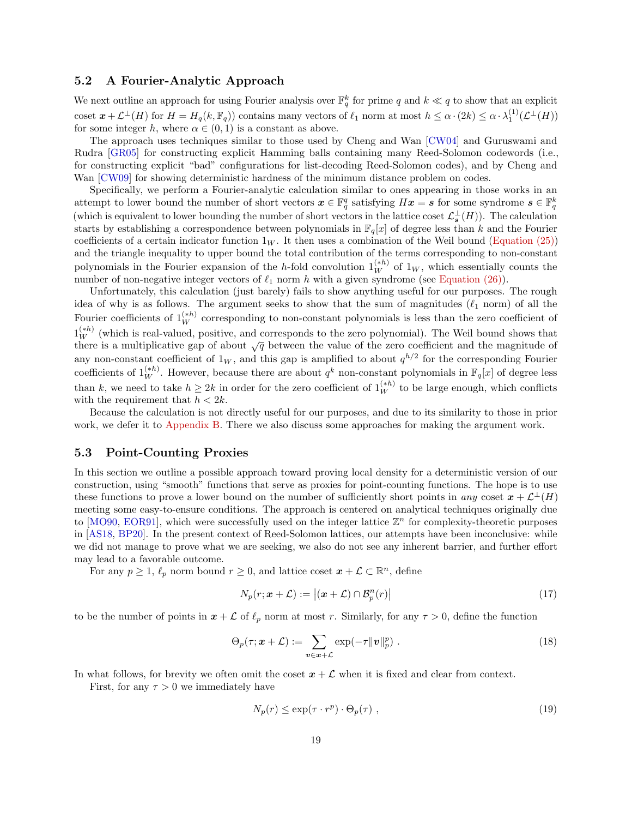#### <span id="page-18-2"></span><span id="page-18-0"></span>5.2 A Fourier-Analytic Approach

We next outline an approach for using Fourier analysis over  $\mathbb{F}_q^k$  for prime q and  $k \ll q$  to show that an explicit coset  $\mathbf{x} + \mathcal{L}^{\perp}(H)$  for  $H = H_q(k, \mathbb{F}_q)$  contains many vectors of  $\ell_1$  norm at most  $h \leq \alpha \cdot (2k) \leq \alpha \cdot \lambda_1^{(1)}(\mathcal{L}^{\perp}(H))$ for some integer h, where  $\alpha \in (0,1)$  is a constant as above.

The approach uses techniques similar to those used by Cheng and Wan [\[CW04\]](#page-20-10) and Guruswami and Rudra [\[GR05\]](#page-20-9) for constructing explicit Hamming balls containing many Reed-Solomon codewords (i.e., for constructing explicit "bad" configurations for list-decoding Reed-Solomon codes), and by Cheng and Wan [\[CW09\]](#page-20-8) for showing deterministic hardness of the minimum distance problem on codes.

Specifically, we perform a Fourier-analytic calculation similar to ones appearing in those works in an attempt to lower bound the number of short vectors  $\boldsymbol{x} \in \mathbb{F}_q^q$  satisfying  $H\boldsymbol{x} = \boldsymbol{s}$  for some syndrome  $\boldsymbol{s} \in \mathbb{F}_q^k$ (which is equivalent to lower bounding the number of short vectors in the lattice coset  $\mathcal{L}_{s}^{\perp}(H)$ ). The calculation starts by establishing a correspondence between polynomials in  $\mathbb{F}_q[x]$  of degree less than k and the Fourier coefficients of a certain indicator function  $1_W$ . It then uses a combination of the Weil bound [\(Equation \(25\)\)](#page-23-0) and the triangle inequality to upper bound the total contribution of the terms corresponding to non-constant polynomials in the Fourier expansion of the h-fold convolution  $1_{W}^{(h)}$  of  $1_{W}$ , which essentially counts the number of non-negative integer vectors of  $\ell_1$  norm h with a given syndrome (see [Equation \(26\)\)](#page-24-0).

Unfortunately, this calculation (just barely) fails to show anything useful for our purposes. The rough idea of why is as follows. The argument seeks to show that the sum of magnitudes  $(\ell_1$  norm) of all the Fourier coefficients of  $1_W^{(h)}$  corresponding to non-constant polynomials is less than the zero coefficient of  $1<sub>W</sub><sup>(****)</sup>$  (which is real-valued, positive, and corresponds to the zero polynomial). The Weil bound shows that there is a multiplicative gap of about  $\sqrt{q}$  between the value of the zero coefficient and the magnitude of any non-constant coefficient of  $1_W$ , and this gap is amplified to about  $q^{h/2}$  for the corresponding Fourier coefficients of  $1_W^{(*h)}$ . However, because there are about  $q^k$  non-constant polynomials in  $\mathbb{F}_q[x]$  of degree less than k, we need to take  $h \geq 2k$  in order for the zero coefficient of  $1_W^{(h)}$  to be large enough, which conflicts with the requirement that  $h < 2k$ .

Because the calculation is not directly useful for our purposes, and due to its similarity to those in prior work, we defer it to [Appendix B.](#page-23-1) There we also discuss some approaches for making the argument work.

#### 5.3 Point-Counting Proxies

In this section we outline a possible approach toward proving local density for a deterministic version of our construction, using "smooth" functions that serve as proxies for point-counting functions. The hope is to use these functions to prove a lower bound on the number of sufficiently short points in any coset  $x + \mathcal{L}^{\perp}(H)$ meeting some easy-to-ensure conditions. The approach is centered on analytical techniques originally due to [\[MO90,](#page-21-17) [EOR91\]](#page-20-18), which were successfully used on the integer lattice  $\mathbb{Z}^n$  for complexity-theoretic purposes in [\[AS18,](#page-20-2) [BP20\]](#page-20-14). In the present context of Reed-Solomon lattices, our attempts have been inconclusive: while we did not manage to prove what we are seeking, we also do not see any inherent barrier, and further effort may lead to a favorable outcome.

For any  $p \geq 1$ ,  $\ell_p$  norm bound  $r \geq 0$ , and lattice coset  $\boldsymbol{x} + \mathcal{L} \subset \mathbb{R}^n$ , define

$$
N_p(r; \mathbf{x} + \mathcal{L}) := |(\mathbf{x} + \mathcal{L}) \cap \mathcal{B}_p^n(r)| \tag{17}
$$

to be the number of points in  $x + \mathcal{L}$  of  $\ell_p$  norm at most r. Similarly, for any  $\tau > 0$ , define the function

$$
\Theta_p(\tau; \boldsymbol{x} + \mathcal{L}) := \sum_{\boldsymbol{v} \in \boldsymbol{x} + \mathcal{L}} \exp(-\tau \|\boldsymbol{v}\|_p^p) \ . \tag{18}
$$

In what follows, for brevity we often omit the coset  $x + \mathcal{L}$  when it is fixed and clear from context.

First, for any  $\tau > 0$  we immediately have

<span id="page-18-1"></span>
$$
N_p(r) \le \exp(\tau \cdot r^p) \cdot \Theta_p(\tau) \tag{19}
$$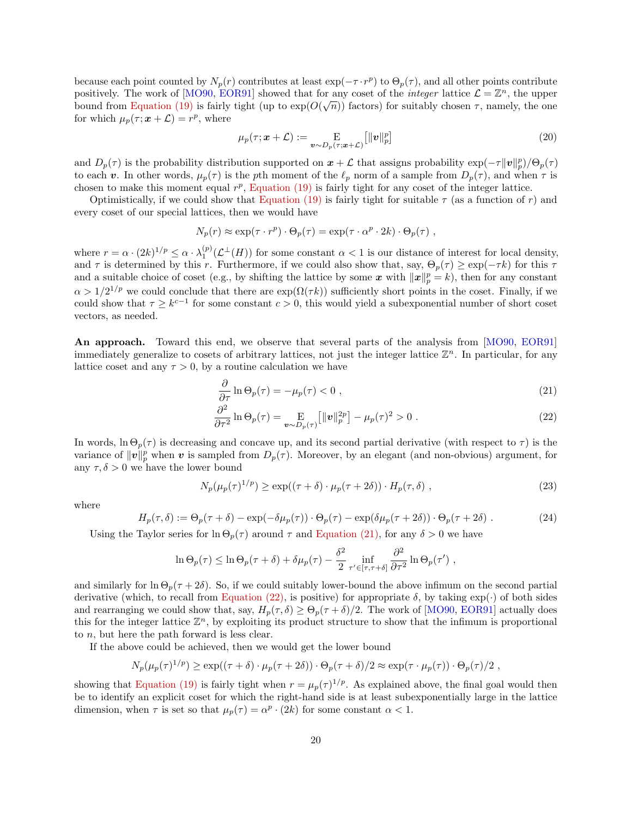<span id="page-19-2"></span>because each point counted by  $N_p(r)$  contributes at least  $\exp(-\tau \cdot r^p)$  to  $\Theta_p(\tau)$ , and all other points contribute positively. The work of [\[MO90,](#page-21-17) [EOR91\]](#page-20-18) showed that for any coset of the *integer* lattice  $\mathcal{L} = \mathbb{Z}^n$ , the upper bound from [Equation \(19\)](#page-18-1) is fairly tight (up to  $exp(O(\sqrt{n}))$  factors) for suitably chosen  $\tau$ , namely, the one for which  $\mu_p(\tau; \mathbf{x} + \mathcal{L}) = r^p$ , where

$$
\mu_p(\tau; \mathbf{x} + \mathcal{L}) := \mathop{\mathbf{E}}_{\mathbf{v} \sim D_p(\tau; \mathbf{x} + \mathcal{L})} [\|\mathbf{v}\|_p^p] \tag{20}
$$

and  $D_p(\tau)$  is the probability distribution supported on  $x+\mathcal{L}$  that assigns probability  $\exp(-\tau ||v||_p^p)/\Theta_p(\tau)$ to each v. In other words,  $\mu_p(\tau)$  is the pth moment of the  $\ell_p$  norm of a sample from  $D_p(\tau)$ , and when  $\tau$  is chosen to make this moment equal  $r^p$ , [Equation \(19\)](#page-18-1) is fairly tight for any coset of the integer lattice.

Optimistically, if we could show that [Equation \(19\)](#page-18-1) is fairly tight for suitable  $\tau$  (as a function of r) and every coset of our special lattices, then we would have

$$
N_p(r) \approx \exp(\tau \cdot r^p) \cdot \Theta_p(\tau) = \exp(\tau \cdot \alpha^p \cdot 2k) \cdot \Theta_p(\tau) ,
$$

where  $r = \alpha \cdot (2k)^{1/p} \leq \alpha \cdot \lambda_1^{(p)}(\mathcal{L}^{\perp}(H))$  for some constant  $\alpha < 1$  is our distance of interest for local density, and  $\tau$  is determined by this r. Furthermore, if we could also show that, say,  $\Theta_p(\tau) \geq \exp(-\tau k)$  for this  $\tau$ and a suitable choice of coset (e.g., by shifting the lattice by some x with  $||x||_p^p = k$ ), then for any constant  $\alpha > 1/2^{1/p}$  we could conclude that there are  $\exp(\Omega(\tau k))$  sufficiently short points in the coset. Finally, if we could show that  $\tau \geq k^{c-1}$  for some constant  $c > 0$ , this would yield a subexponential number of short coset vectors, as needed.

An approach. Toward this end, we observe that several parts of the analysis from [\[MO90,](#page-21-17) [EOR91\]](#page-20-18) immediately generalize to cosets of arbitrary lattices, not just the integer lattice  $\mathbb{Z}^n$ . In particular, for any lattice coset and any  $\tau > 0$ , by a routine calculation we have

<span id="page-19-1"></span><span id="page-19-0"></span>
$$
\frac{\partial}{\partial \tau} \ln \Theta_p(\tau) = -\mu_p(\tau) < 0 \tag{21}
$$

$$
\frac{\partial^2}{\partial \tau^2} \ln \Theta_p(\tau) = \mathop{\mathbf{E}}_{\mathbf{v} \sim D_p(\tau)} \left[ \|\mathbf{v}\|_p^{2p} \right] - \mu_p(\tau)^2 > 0 \tag{22}
$$

In words,  $\ln \Theta_p(\tau)$  is decreasing and concave up, and its second partial derivative (with respect to  $\tau$ ) is the variance of  $\|\boldsymbol{v}\|_p^p$  when  $\boldsymbol{v}$  is sampled from  $D_p(\tau)$ . Moreover, by an elegant (and non-obvious) argument, for any  $\tau, \delta > 0$  we have the lower bound

$$
N_p(\mu_p(\tau)^{1/p}) \ge \exp((\tau + \delta) \cdot \mu_p(\tau + 2\delta)) \cdot H_p(\tau, \delta) \tag{23}
$$

where

$$
H_p(\tau,\delta) := \Theta_p(\tau+\delta) - \exp(-\delta\mu_p(\tau)) \cdot \Theta_p(\tau) - \exp(\delta\mu_p(\tau+2\delta)) \cdot \Theta_p(\tau+2\delta) \ . \tag{24}
$$

Using the Taylor series for  $\ln \Theta_p(\tau)$  around  $\tau$  and [Equation \(21\),](#page-19-0) for any  $\delta > 0$  we have

$$
\ln \Theta_p(\tau) \leq \ln \Theta_p(\tau + \delta) + \delta \mu_p(\tau) - \frac{\delta^2}{2} \inf_{\tau' \in [\tau, \tau + \delta]} \frac{\partial^2}{\partial \tau^2} \ln \Theta_p(\tau') ,
$$

and similarly for  $\ln \Theta_p(\tau + 2\delta)$ . So, if we could suitably lower-bound the above infimum on the second partial derivative (which, to recall from [Equation \(22\),](#page-19-1) is positive) for appropriate  $\delta$ , by taking  $\exp(\cdot)$  of both sides and rearranging we could show that, say,  $H_p(\tau, \delta) \geq \Theta_p(\tau + \delta)/2$ . The work of [\[MO90,](#page-21-17) [EOR91\]](#page-20-18) actually does this for the integer lattice  $\mathbb{Z}^n$ , by exploiting its product structure to show that the infimum is proportional to n, but here the path forward is less clear.

If the above could be achieved, then we would get the lower bound

$$
N_p(\mu_p(\tau)^{1/p}) \ge \exp((\tau + \delta) \cdot \mu_p(\tau + 2\delta)) \cdot \Theta_p(\tau + \delta)/2 \approx \exp(\tau \cdot \mu_p(\tau)) \cdot \Theta_p(\tau)/2,
$$

showing that [Equation \(19\)](#page-18-1) is fairly tight when  $r = \mu_p(\tau)^{1/p}$ . As explained above, the final goal would then be to identify an explicit coset for which the right-hand side is at least subexponentially large in the lattice dimension, when  $\tau$  is set so that  $\mu_p(\tau) = \alpha^p \cdot (2k)$  for some constant  $\alpha < 1$ .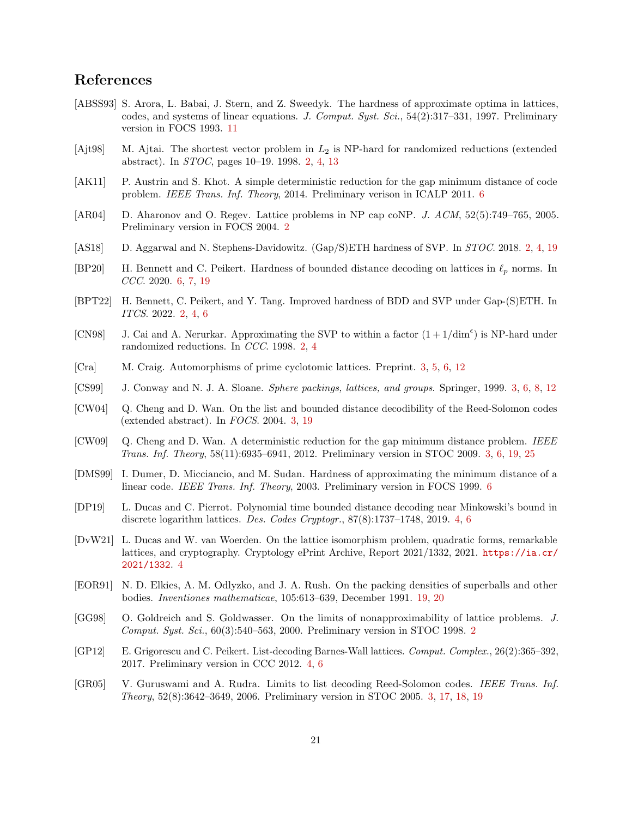## References

- <span id="page-20-17"></span>[ABSS93] S. Arora, L. Babai, J. Stern, and Z. Sweedyk. The hardness of approximate optima in lattices, codes, and systems of linear equations. J. Comput. Syst. Sci., 54(2):317–331, 1997. Preliminary version in FOCS 1993. [11](#page-10-8)
- <span id="page-20-0"></span>[Ajt98] M. Ajtai. The shortest vector problem in  $L_2$  is NP-hard for randomized reductions (extended abstract). In STOC, pages 10–19. 1998. [2,](#page-1-0) [4,](#page-3-2) [13](#page-12-4)
- <span id="page-20-16"></span>[AK11] P. Austrin and S. Khot. A simple deterministic reduction for the gap minimum distance of code problem. IEEE Trans. Inf. Theory, 2014. Preliminary verison in ICALP 2011. [6](#page-5-3)
- <span id="page-20-5"></span>[AR04] D. Aharonov and O. Regev. Lattice problems in NP cap coNP. J. ACM, 52(5):749–765, 2005. Preliminary version in FOCS 2004. [2](#page-1-0)
- <span id="page-20-2"></span>[AS18] D. Aggarwal and N. Stephens-Davidowitz. (Gap/S)ETH hardness of SVP. In STOC. 2018. [2,](#page-1-0) [4,](#page-3-2) [19](#page-18-2)
- <span id="page-20-14"></span>[BP20] H. Bennett and C. Peikert. Hardness of bounded distance decoding on lattices in  $\ell_p$  norms. In CCC. 2020. [6,](#page-5-3) [7,](#page-6-0) [19](#page-18-2)
- <span id="page-20-3"></span>[BPT22] H. Bennett, C. Peikert, and Y. Tang. Improved hardness of BDD and SVP under Gap-(S)ETH. In ITCS. 2022. [2,](#page-1-0) [4,](#page-3-2) [6](#page-5-3)
- <span id="page-20-1"></span>[CN98] J. Cai and A. Nerurkar. Approximating the SVP to within a factor  $(1 + 1/\text{dim}^{\epsilon})$  is NP-hard under randomized reductions. In CCC. 1998. [2,](#page-1-0) [4](#page-3-2)
- <span id="page-20-7"></span>[Cra] M. Craig. Automorphisms of prime cyclotomic lattices. Preprint. [3,](#page-2-3) [5,](#page-4-3) [6,](#page-5-3) [12](#page-11-4)
- <span id="page-20-6"></span>[CS99] J. Conway and N. J. A. Sloane. Sphere packings, lattices, and groups. Springer, 1999. [3,](#page-2-3) [6,](#page-5-3) [8,](#page-7-5) [12](#page-11-4)
- <span id="page-20-10"></span>[CW04] Q. Cheng and D. Wan. On the list and bounded distance decodibility of the Reed-Solomon codes (extended abstract). In FOCS. 2004. [3,](#page-2-3) [19](#page-18-2)
- <span id="page-20-8"></span>[CW09] Q. Cheng and D. Wan. A deterministic reduction for the gap minimum distance problem. IEEE Trans. Inf. Theory, 58(11):6935–6941, 2012. Preliminary version in STOC 2009. [3,](#page-2-3) [6,](#page-5-3) [19,](#page-18-2) [25](#page-24-1)
- <span id="page-20-15"></span>[DMS99] I. Dumer, D. Micciancio, and M. Sudan. Hardness of approximating the minimum distance of a linear code. IEEE Trans. Inf. Theory, 2003. Preliminary version in FOCS 1999. [6](#page-5-3)
- <span id="page-20-12"></span>[DP19] L. Ducas and C. Pierrot. Polynomial time bounded distance decoding near Minkowski's bound in discrete logarithm lattices. Des. Codes Cryptogr., 87(8):1737–1748, 2019. [4,](#page-3-2) [6](#page-5-3)
- <span id="page-20-13"></span>[DvW21] L. Ducas and W. van Woerden. On the lattice isomorphism problem, quadratic forms, remarkable lattices, and cryptography. Cryptology ePrint Archive, Report 2021/1332, 2021. [https://ia.cr/](https://ia.cr/2021/1332) [2021/1332](https://ia.cr/2021/1332). [4](#page-3-2)
- <span id="page-20-18"></span>[EOR91] N. D. Elkies, A. M. Odlyzko, and J. A. Rush. On the packing densities of superballs and other bodies. Inventiones mathematicae, 105:613–639, December 1991. [19,](#page-18-2) [20](#page-19-2)
- <span id="page-20-4"></span>[GG98] O. Goldreich and S. Goldwasser. On the limits of nonapproximability of lattice problems. J. Comput. Syst. Sci., 60(3):540–563, 2000. Preliminary version in STOC 1998. [2](#page-1-0)
- <span id="page-20-11"></span>[GP12] E. Grigorescu and C. Peikert. List-decoding Barnes-Wall lattices. Comput. Complex., 26(2):365–392, 2017. Preliminary version in CCC 2012. [4,](#page-3-2) [6](#page-5-3)
- <span id="page-20-9"></span>[GR05] V. Guruswami and A. Rudra. Limits to list decoding Reed-Solomon codes. IEEE Trans. Inf. Theory, 52(8):3642–3649, 2006. Preliminary version in STOC 2005. [3,](#page-2-3) [17,](#page-16-4) [18,](#page-17-1) [19](#page-18-2)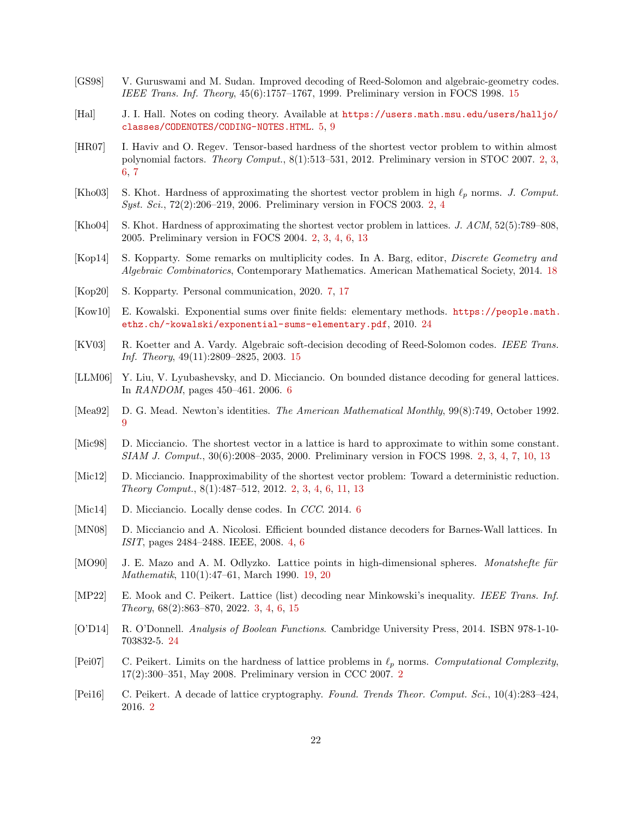- <span id="page-21-14"></span>[GS98] V. Guruswami and M. Sudan. Improved decoding of Reed-Solomon and algebraic-geometry codes. IEEE Trans. Inf. Theory, 45(6):1757–1767, 1999. Preliminary version in FOCS 1998. [15](#page-14-4)
- <span id="page-21-9"></span>[Hal] J. I. Hall. Notes on coding theory. Available at [https://users.math.msu.edu/users/halljo/](https://users.math.msu.edu/users/halljo/classes/CODENOTES/CODING-NOTES.HTML) [classes/CODENOTES/CODING-NOTES.HTML](https://users.math.msu.edu/users/halljo/classes/CODENOTES/CODING-NOTES.HTML). [5,](#page-4-3) [9](#page-8-3)
- <span id="page-21-4"></span>[HR07] I. Haviv and O. Regev. Tensor-based hardness of the shortest vector problem to within almost polynomial factors. Theory Comput., 8(1):513–531, 2012. Preliminary version in STOC 2007. [2,](#page-1-0) [3,](#page-2-3) [6,](#page-5-3) [7](#page-6-0)
- <span id="page-21-2"></span>[Kho03] S. Khot. Hardness of approximating the shortest vector problem in high  $\ell_p$  norms. J. Comput. Syst. Sci., 72(2):206–219, 2006. Preliminary version in FOCS 2003. [2,](#page-1-0) [4](#page-3-2)
- <span id="page-21-3"></span>[Kho04] S. Khot. Hardness of approximating the shortest vector problem in lattices. J. ACM, 52(5):789–808, 2005. Preliminary version in FOCS 2004. [2,](#page-1-0) [3,](#page-2-3) [4,](#page-3-2) [6,](#page-5-3) [13](#page-12-4)
- <span id="page-21-16"></span>[Kop14] S. Kopparty. Some remarks on multiplicity codes. In A. Barg, editor, Discrete Geometry and Algebraic Combinatorics, Contemporary Mathematics. American Mathematical Society, 2014. [18](#page-17-1)
- <span id="page-21-12"></span>[Kop20] S. Kopparty. Personal communication, 2020. [7,](#page-6-0) [17](#page-16-4)
- <span id="page-21-18"></span>[Kow10] E. Kowalski. Exponential sums over finite fields: elementary methods. [https://people.math.](https://people.math.ethz.ch/~kowalski/exponential-sums-elementary.pdf) [ethz.ch/~kowalski/exponential-sums-elementary.pdf](https://people.math.ethz.ch/~kowalski/exponential-sums-elementary.pdf), 2010. [24](#page-23-2)
- <span id="page-21-15"></span>[KV03] R. Koetter and A. Vardy. Algebraic soft-decision decoding of Reed-Solomon codes. IEEE Trans. Inf. Theory, 49(11):2809–2825, 2003. [15](#page-14-4)
- <span id="page-21-10"></span>[LLM06] Y. Liu, V. Lyubashevsky, and D. Micciancio. On bounded distance decoding for general lattices. In RANDOM, pages 450–461. 2006. [6](#page-5-3)
- <span id="page-21-13"></span>[Mea92] D. G. Mead. Newton's identities. The American Mathematical Monthly, 99(8):749, October 1992. [9](#page-8-3)
- <span id="page-21-1"></span>[Mic98] D. Micciancio. The shortest vector in a lattice is hard to approximate to within some constant. SIAM J. Comput., 30(6):2008–2035, 2000. Preliminary version in FOCS 1998. [2,](#page-1-0) [3,](#page-2-3) [4,](#page-3-2) [7,](#page-6-0) [10,](#page-9-6) [13](#page-12-4)
- <span id="page-21-5"></span>[Mic12] D. Micciancio. Inapproximability of the shortest vector problem: Toward a deterministic reduction. Theory Comput., 8(1):487–512, 2012. [2,](#page-1-0) [3,](#page-2-3) [4,](#page-3-2) [6,](#page-5-3) [11,](#page-10-8) [13](#page-12-4)
- <span id="page-21-11"></span>[Mic14] D. Micciancio. Locally dense codes. In CCC. 2014. [6](#page-5-3)
- <span id="page-21-8"></span>[MN08] D. Micciancio and A. Nicolosi. Efficient bounded distance decoders for Barnes-Wall lattices. In ISIT, pages 2484–2488. IEEE, 2008. [4,](#page-3-2) [6](#page-5-3)
- <span id="page-21-17"></span>[MO90] J. E. Mazo and A. M. Odlyzko. Lattice points in high-dimensional spheres. Monatshefte für Mathematik, 110(1):47–61, March 1990. [19,](#page-18-2) [20](#page-19-2)
- <span id="page-21-7"></span>[MP22] E. Mook and C. Peikert. Lattice (list) decoding near Minkowski's inequality. IEEE Trans. Inf. Theory, 68(2):863–870, 2022. [3,](#page-2-3) [4,](#page-3-2) [6,](#page-5-3) [15](#page-14-4)
- <span id="page-21-19"></span>[O'D14] R. O'Donnell. Analysis of Boolean Functions. Cambridge University Press, 2014. ISBN 978-1-10- 703832-5. [24](#page-23-2)
- <span id="page-21-6"></span>[Pei07] C. Peikert. Limits on the hardness of lattice problems in  $\ell_p$  norms. Computational Complexity, 17(2):300–351, May 2008. Preliminary version in CCC 2007. [2](#page-1-0)
- <span id="page-21-0"></span>[Pei16] C. Peikert. A decade of lattice cryptography. Found. Trends Theor. Comput. Sci., 10(4):283–424, 2016. [2](#page-1-0)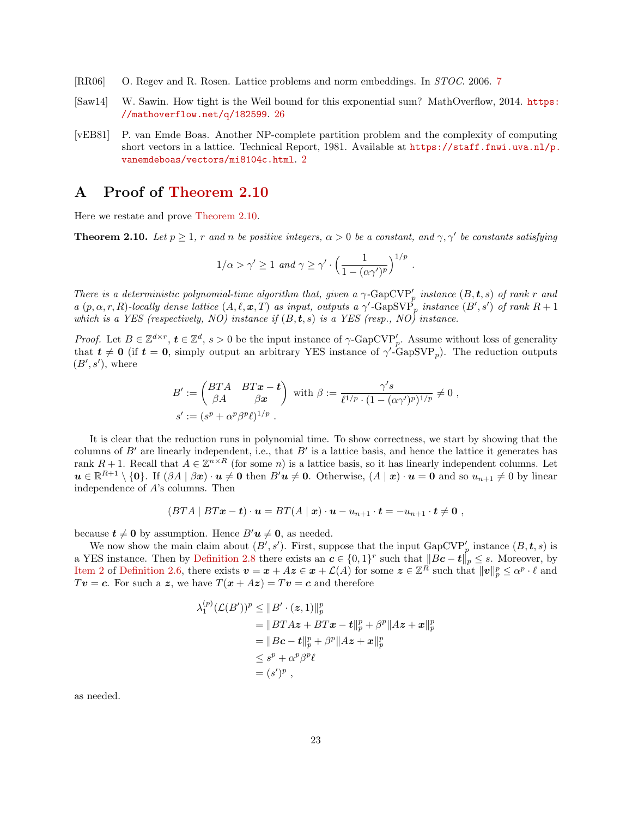- <span id="page-22-1"></span>[RR06] O. Regev and R. Rosen. Lattice problems and norm embeddings. In STOC. 2006. [7](#page-6-0)
- <span id="page-22-3"></span>[Saw14] W. Sawin. How tight is the Weil bound for this exponential sum? MathOverflow, 2014. [https:](https://mathoverflow.net/q/182599) [//mathoverflow.net/q/182599](https://mathoverflow.net/q/182599). [26](#page-25-0)
- <span id="page-22-0"></span>[vEB81] P. van Emde Boas. Another NP-complete partition problem and the complexity of computing short vectors in a lattice. Technical Report, 1981. Available at [https://staff.fnwi.uva.nl/p.](https://staff.fnwi.uva.nl/p.vanemdeboas/vectors/mi8104c.html) [vanemdeboas/vectors/mi8104c.html](https://staff.fnwi.uva.nl/p.vanemdeboas/vectors/mi8104c.html). [2](#page-1-0)

## <span id="page-22-2"></span>A Proof of [Theorem 2.10](#page-10-1)

Here we restate and prove [Theorem 2.10.](#page-10-1)

**Theorem 2.10.** Let  $p \ge 1$ , r and n be positive integers,  $\alpha > 0$  be a constant, and  $\gamma$ ,  $\gamma'$  be constants satisfying

$$
1/\alpha > \gamma' \ge 1 \ and \ \gamma \ge \gamma' \cdot \left(\frac{1}{1 - (\alpha \gamma')^p}\right)^{1/p}
$$

.

There is a deterministic polynomial-time algorithm that, given a  $\gamma$ -GapCVP'<sub>p</sub> instance  $(B, t, s)$  of rank r and a  $(p, \alpha, r, R)$ -locally dense lattice  $(A, \ell, \mathbf{x}, T)$  as input, outputs a  $\gamma'$ -GapSVP<sub>p</sub> instance  $(B', s')$  of rank  $R + 1$ which is a YES (respectively, NO) instance if  $(B, t, s)$  is a YES (resp., NO) instance.

Proof. Let  $B \in \mathbb{Z}^{d \times r}$ ,  $t \in \mathbb{Z}^d$ ,  $s > 0$  be the input instance of  $\gamma$ -GapCVP'<sub>p</sub>. Assume without loss of generality that  $t \neq 0$  (if  $t = 0$ , simply output an arbitrary YES instance of  $\gamma'$ -GapSVP<sub>p</sub>). The reduction outputs  $(B', s')$ , where

$$
B' := \begin{pmatrix} BTA & BT\mathbf{x} - \mathbf{t} \\ \beta A & \beta \mathbf{x} \end{pmatrix} \text{ with } \beta := \frac{\gamma' s}{\ell^{1/p} \cdot (1 - (\alpha \gamma')^p)^{1/p}} \neq 0 ,
$$
  

$$
s' := (s^p + \alpha^p \beta^p \ell)^{1/p} .
$$

It is clear that the reduction runs in polynomial time. To show correctness, we start by showing that the columns of  $B'$  are linearly independent, i.e., that  $B'$  is a lattice basis, and hence the lattice it generates has rank  $R+1$ . Recall that  $A \in \mathbb{Z}^{n \times R}$  (for some n) is a lattice basis, so it has linearly independent columns. Let  $u \in \mathbb{R}^{R+1} \setminus \{0\}$ . If  $(\beta A \mid \beta x) \cdot u \neq 0$  then  $B'u \neq 0$ . Otherwise,  $(A \mid x) \cdot u = 0$  and so  $u_{n+1} \neq 0$  by linear independence of A's columns. Then

$$
(BTA \mid BT\boldsymbol{x}-\boldsymbol{t})\cdot \boldsymbol{u}=BT(A \mid \boldsymbol{x})\cdot \boldsymbol{u}-u_{n+1}\cdot \boldsymbol{t}=-u_{n+1}\cdot \boldsymbol{t}\neq \boldsymbol{0},
$$

because  $t \neq 0$  by assumption. Hence  $B'u \neq 0$ , as needed.

We now show the main claim about  $(B', s')$ . First, suppose that the input  $\text{GapCVP}'_p$  instance  $(B, t, s)$  is a YES instance. Then by [Definition 2.8](#page-9-7) there exists an  $c \in \{0,1\}^r$  such that  $||Bc-t||_p \leq s$ . Moreover, by Hem 2 of [Definition 2.6,](#page-9-0) there exists  $\boldsymbol{v} = \boldsymbol{x} + A\boldsymbol{z} \in \boldsymbol{x} + \mathcal{L}(A)$  for some  $\boldsymbol{z} \in \mathbb{Z}^R$  such that  $\|\boldsymbol{v}\|_p^p \leq \alpha^p \cdot \ell$  and  $Tv = c$ . For such a z, we have  $T(x + Az) = Tv = c$  and therefore

$$
\lambda_1^{(p)}(\mathcal{L}(B'))^p \le ||B' \cdot (z, 1)||_p^p
$$
  
=  $||BTAz + BTx - t||_p^p + \beta^p ||Az + x||_p^p$   
=  $||Bc - t||_p^p + \beta^p ||Az + x||_p^p$   
 $\le s^p + \alpha^p \beta^p \ell$   
=  $(s')^p$ ,

as needed.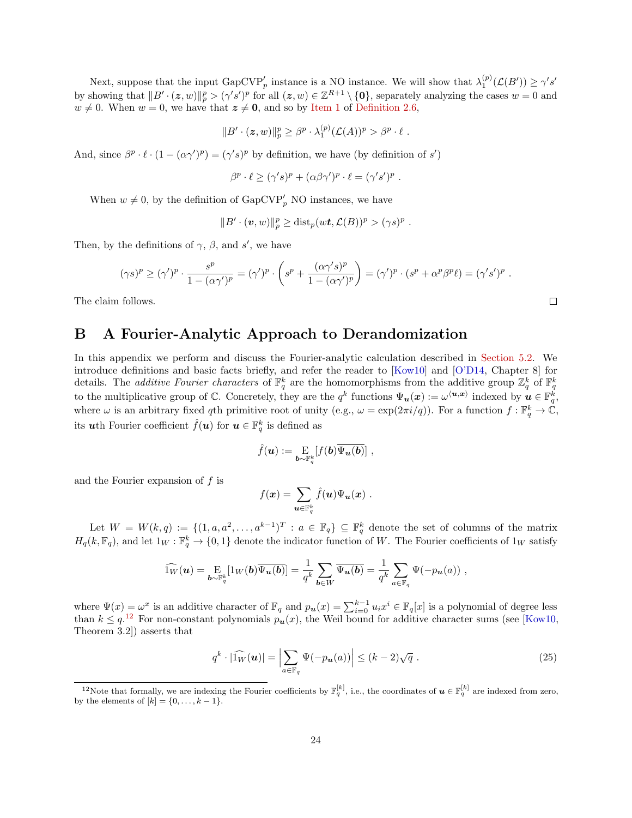<span id="page-23-2"></span>Next, suppose that the input  $\text{GapCVP}'_p$  instance is a NO instance. We will show that  $\lambda_1^{(p)}(\mathcal{L}(B')) \geq \gamma's'$ by showing that  $||B' \cdot (z, w)||_p^p > (\gamma' s')^p$  for all  $(z, w) \in \mathbb{Z}^{R+1} \setminus \{0\}$ , separately analyzing the cases  $w = 0$  and  $w \neq 0$ . When  $w = 0$ , we have that  $z \neq 0$ , and so by [Item 1](#page-9-4) of [Definition 2.6,](#page-9-0)

$$
||B' \cdot (z,w)||_p^p \geq \beta^p \cdot \lambda_1^{(p)}(\mathcal{L}(A))^p > \beta^p \cdot \ell.
$$

And, since  $\beta^p \cdot \ell \cdot (1 - (\alpha \gamma')^p) = (\gamma' s)^p$  by definition, we have (by definition of s')

$$
\beta^p \cdot \ell \ge (\gamma' s)^p + (\alpha \beta \gamma')^p \cdot \ell = (\gamma' s')^p.
$$

When  $w \neq 0$ , by the definition of  $\text{GapCVP}'_p$  NO instances, we have

$$
||B' \cdot (\boldsymbol{v}, w)||_p^p \geq \text{dist}_p(w\boldsymbol{t}, \mathcal{L}(B))^p > (\gamma s)^p.
$$

Then, by the definitions of  $\gamma$ ,  $\beta$ , and s', we have

$$
(\gamma s)^p \geq (\gamma')^p \cdot \frac{s^p}{1 - (\alpha \gamma')^p} = (\gamma')^p \cdot \left( s^p + \frac{(\alpha \gamma' s)^p}{1 - (\alpha \gamma')^p} \right) = (\gamma')^p \cdot (s^p + \alpha^p \beta^p \ell) = (\gamma' s')^p.
$$

The claim follows.

## <span id="page-23-1"></span>B A Fourier-Analytic Approach to Derandomization

In this appendix we perform and discuss the Fourier-analytic calculation described in [Section 5.2.](#page-18-0) We introduce definitions and basic facts briefly, and refer the reader to [\[Kow10\]](#page-21-18) and [\[O'D14,](#page-21-19) Chapter 8] for details. The *additive Fourier characters* of  $\mathbb{F}_q^k$  are the homomorphisms from the additive group  $\mathbb{Z}_q^k$  of  $\mathbb{F}_q^k$ to the multiplicative group of  $\mathbb{C}$ . Concretely, they are the  $q^k$  functions  $\Psi_{\boldsymbol{u}}(\boldsymbol{x}) := \omega^{\langle \boldsymbol{u}, \boldsymbol{x} \rangle}$  indexed by  $\boldsymbol{u} \in \mathbb{F}_q^k$ , where  $\omega$  is an arbitrary fixed qth primitive root of unity (e.g.,  $\omega = \exp(2\pi i/q)$ ). For a function  $f : \mathbb{F}_q^k \to \mathbb{C}$ , its **u**th Fourier coefficient  $\hat{f}(\boldsymbol{u})$  for  $\boldsymbol{u} \in \mathbb{F}_q^k$  is defined as

$$
\hat{f}(\boldsymbol{u}) := \mathop{\mathrm{E}}\limits_{\boldsymbol{b}\sim\mathbb{F}_q^k} [f(\boldsymbol{b}) \overline{\Psi_{\boldsymbol{u}}(\boldsymbol{b})}] \ ,
$$

and the Fourier expansion of  $f$  is

$$
f(\boldsymbol{x}) = \sum_{\boldsymbol{u}\in \mathbb{F}_q^k} \hat{f}(\boldsymbol{u}) \Psi_{\boldsymbol{u}}(\boldsymbol{x}) \ .
$$

Let  $W = W(k, q) := \{(1, a, a^2, \dots, a^{k-1})^T : a \in \mathbb{F}_q\} \subseteq \mathbb{F}_q^k$  denote the set of columns of the matrix  $H_q(k, \mathbb{F}_q)$ , and let  $1_W : \mathbb{F}_q^k \to \{0, 1\}$  denote the indicator function of W. The Fourier coefficients of  $1_W$  satisfy

$$
\widehat{\mathbb{1}_W}(\boldsymbol{u}) = \underset{\boldsymbol{b}\sim\mathbb{F}_q^k}{\mathrm{E}}[\mathbb{1}_W(\boldsymbol{b})\overline{\Psi_{\boldsymbol{u}}(\boldsymbol{b})}] = \frac{1}{q^k} \sum_{\boldsymbol{b}\in W} \overline{\Psi_{\boldsymbol{u}}(\boldsymbol{b})} = \frac{1}{q^k} \sum_{a\in\mathbb{F}_q} \Psi(-p_{\boldsymbol{u}}(a)) ,
$$

where  $\Psi(x) = \omega^x$  is an additive character of  $\mathbb{F}_q$  and  $p_u(x) = \sum_{i=0}^{k-1} u_i x^i \in \mathbb{F}_q[x]$  is a polynomial of degree less than  $k \leq q^{12}$  $k \leq q^{12}$  $k \leq q^{12}$  For non-constant polynomials  $p_u(x)$ , the Weil bound for additive character sums (see [\[Kow10,](#page-21-18) Theorem 3.2]) asserts that

<span id="page-23-0"></span>
$$
q^{k} \cdot |\widehat{1_{W}}(\boldsymbol{u})| = \left| \sum_{a \in \mathbb{F}_{q}} \Psi(-p_{\boldsymbol{u}}(a)) \right| \leq (k-2)\sqrt{q} . \tag{25}
$$

 $\Box$ 

<span id="page-23-3"></span><sup>&</sup>lt;sup>12</sup>Note that formally, we are indexing the Fourier coefficients by  $\mathbb{F}_q^{[k]}$ , i.e., the coordinates of  $u \in \mathbb{F}_q^{[k]}$  are indexed from zero, by the elements of  $[k] = \{0, \ldots, k-1\}.$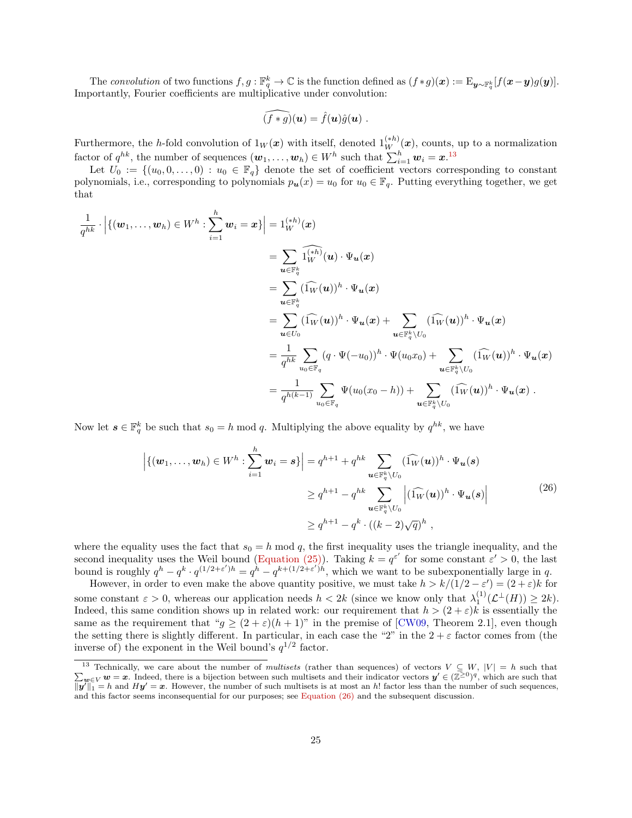<span id="page-24-1"></span>The convolution of two functions  $f, g: \mathbb{F}_q^k \to \mathbb{C}$  is the function defined as  $(f * g)(x) := \mathrm{E}_{\bm{y} \sim \mathbb{F}_q^k}[f(\bm{x} - \bm{y})g(\bm{y})].$ Importantly, Fourier coefficients are multiplicative under convolution:

$$
\widehat{(f*g)}(\boldsymbol{u}) = \hat{f}(\boldsymbol{u})\hat{g}(\boldsymbol{u})\ .
$$

Furthermore, the h-fold convolution of  $1_W(\mathbf{x})$  with itself, denoted  $1_W^{(*)}(\mathbf{x})$ , counts, up to a normalization factor of  $q^{hk}$ , the number of sequences  $(\boldsymbol{w}_1, \ldots, \boldsymbol{w}_h) \in W^h$  such that  $\sum_{i=1}^h \boldsymbol{w}_i = \boldsymbol{x}$ .<sup>[13](#page-24-2)</sup>

Let  $U_0 := \{(u_0, 0, \ldots, 0) : u_0 \in \mathbb{F}_q\}$  denote the set of coefficient vectors corresponding to constant polynomials, i.e., corresponding to polynomials  $p_u(x) = u_0$  for  $u_0 \in \mathbb{F}_q$ . Putting everything together, we get that

$$
\begin{aligned}\n\frac{1}{q^{hk}} \cdot \Big| \{ (w_1, \ldots, w_h) \in W^h : \sum_{i=1}^h w_i = x \} \Big| &= 1_W^{(sh)}(x) \\
&= \sum_{\mathbf{u} \in \mathbb{F}_q^k} \widehat{1_W^{(ih)}(\mathbf{u})} \cdot \Psi_{\mathbf{u}}(x) \\
&= \sum_{\mathbf{u} \in \mathbb{F}_q^k} (\widehat{1_W}(\mathbf{u}))^h \cdot \Psi_{\mathbf{u}}(x) \\
&= \sum_{\mathbf{u} \in U_0} (\widehat{1_W}(\mathbf{u}))^h \cdot \Psi_{\mathbf{u}}(x) + \sum_{\mathbf{u} \in \mathbb{F}_q^k \setminus U_0} (\widehat{1_W}(\mathbf{u}))^h \cdot \Psi_{\mathbf{u}}(x) \\
&= \frac{1}{q^{hk}} \sum_{u_0 \in \mathbb{F}_q} (q \cdot \Psi(-u_0))^h \cdot \Psi(u_0 x_0) + \sum_{\mathbf{u} \in \mathbb{F}_q^k \setminus U_0} (\widehat{1_W}(\mathbf{u}))^h \cdot \Psi_{\mathbf{u}}(x) \\
&= \frac{1}{q^{h(k-1)}} \sum_{u_0 \in \mathbb{F}_q} \Psi(u_0(x_0 - h)) + \sum_{\mathbf{u} \in \mathbb{F}_q^k \setminus U_0} (\widehat{1_W}(\mathbf{u}))^h \cdot \Psi_{\mathbf{u}}(x) \;.\n\end{aligned}
$$

Now let  $s \in \mathbb{F}_q^k$  be such that  $s_0 = h \mod q$ . Multiplying the above equality by  $q^{hk}$ , we have

<span id="page-24-0"></span>
$$
\left| \{ (\boldsymbol{w}_1, \dots, \boldsymbol{w}_h) \in W^h : \sum_{i=1}^h \boldsymbol{w}_i = \boldsymbol{s} \} \right| = q^{h+1} + q^{hk} \sum_{\boldsymbol{u} \in \mathbb{F}_q^k \backslash U_0} (\widehat{1_W}(\boldsymbol{u}))^h \cdot \Psi_{\boldsymbol{u}}(\boldsymbol{s})
$$
\n
$$
\geq q^{h+1} - q^{hk} \sum_{\boldsymbol{u} \in \mathbb{F}_q^k \backslash U_0} \left| (\widehat{1_W}(\boldsymbol{u}))^h \cdot \Psi_{\boldsymbol{u}}(\boldsymbol{s}) \right|
$$
\n
$$
\geq q^{h+1} - q^k \cdot ((k-2)\sqrt{q})^h , \tag{26}
$$

where the equality uses the fact that  $s_0 = h \mod q$ , the first inequality uses the triangle inequality, and the second inequality uses the Weil bound [\(Equation \(25\)\)](#page-23-0). Taking  $k = q^{\varepsilon'}$  for some constant  $\varepsilon' > 0$ , the last bound is roughly  $q^h - q^k \cdot q^{(1/2+\varepsilon')h} = q^h - q^{k+(1/2+\varepsilon')h}$ , which we want to be subexponentially large in q.

However, in order to even make the above quantity positive, we must take  $h > k/(1/2 - \varepsilon') = (2 + \varepsilon)k$  for some constant  $\varepsilon > 0$ , whereas our application needs  $h < 2k$  (since we know only that  $\lambda_1^{(1)}(\mathcal{L}^{\perp}(H)) \geq 2k$ ). Indeed, this same condition shows up in related work: our requirement that  $h > (2 + \varepsilon)k$  is essentially the same as the requirement that " $g \ge (2 + \varepsilon)(h + 1)$ " in the premise of [\[CW09,](#page-20-8) Theorem 2.1], even though the setting there is slightly different. In particular, in each case the "2" in the  $2 + \varepsilon$  factor comes from (the inverse of) the exponent in the Weil bound's  $q^{1/2}$  factor.

<span id="page-24-2"></span> $\sum_{}^{}% \left( \sum_{}^{}% \left( \sum_{}^{}% \left( \sum_{}^{}% \left( \sum_{}^{}% \left( \sum_{}^{}% \left( \sum_{}^{}% \left( \sum_{}^{}% \left( \sum_{}^{}% \left( \sum_{}^{}% \right) \right) \right) \right) \right) \right) \right) \right)$ <sup>13</sup> Technically, we care about the number of multisets (rather than sequences) of vectors  $V \subseteq W$ ,  $|V| = h$  such that  $w \in V$  w = x. Indeed, there is a bijection between such multisets and their indicator vectors  $y' \in (\mathbb{Z}^{\geq 0})^q$ , which are such that  $||\mathbf{y}||_1 = h$  and  $H\mathbf{y}' = \mathbf{x}$ . However, the number of such multisets is at most an h! factor less than the number of such sequences, and this factor seems inconsequential for our purposes; see [Equation \(26\)](#page-24-0) and the subsequent discussion.